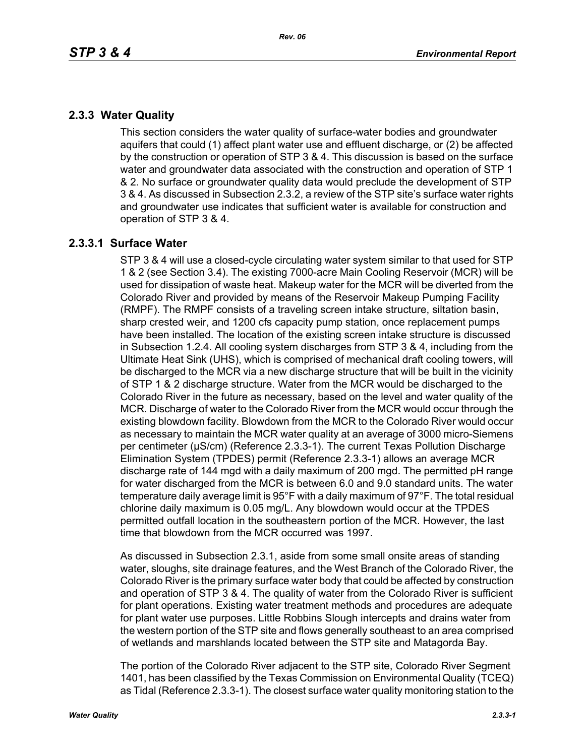# **2.3.3 Water Quality**

This section considers the water quality of surface-water bodies and groundwater aquifers that could (1) affect plant water use and effluent discharge, or (2) be affected by the construction or operation of STP 3 & 4. This discussion is based on the surface water and groundwater data associated with the construction and operation of STP 1 & 2. No surface or groundwater quality data would preclude the development of STP 3 & 4. As discussed in Subsection 2.3.2, a review of the STP site's surface water rights and groundwater use indicates that sufficient water is available for construction and operation of STP 3 & 4.

## **2.3.3.1 Surface Water**

STP 3 & 4 will use a closed-cycle circulating water system similar to that used for STP 1 & 2 (see Section 3.4). The existing 7000-acre Main Cooling Reservoir (MCR) will be used for dissipation of waste heat. Makeup water for the MCR will be diverted from the Colorado River and provided by means of the Reservoir Makeup Pumping Facility (RMPF). The RMPF consists of a traveling screen intake structure, siltation basin, sharp crested weir, and 1200 cfs capacity pump station, once replacement pumps have been installed. The location of the existing screen intake structure is discussed in Subsection 1.2.4. All cooling system discharges from STP 3 & 4, including from the Ultimate Heat Sink (UHS), which is comprised of mechanical draft cooling towers, will be discharged to the MCR via a new discharge structure that will be built in the vicinity of STP 1 & 2 discharge structure. Water from the MCR would be discharged to the Colorado River in the future as necessary, based on the level and water quality of the MCR. Discharge of water to the Colorado River from the MCR would occur through the existing blowdown facility. Blowdown from the MCR to the Colorado River would occur as necessary to maintain the MCR water quality at an average of 3000 micro-Siemens per centimeter (µS/cm) (Reference 2.3.3-1). The current Texas Pollution Discharge Elimination System (TPDES) permit (Reference 2.3.3-1) allows an average MCR discharge rate of 144 mgd with a daily maximum of 200 mgd. The permitted pH range for water discharged from the MCR is between 6.0 and 9.0 standard units. The water temperature daily average limit is 95°F with a daily maximum of 97°F. The total residual chlorine daily maximum is 0.05 mg/L. Any blowdown would occur at the TPDES permitted outfall location in the southeastern portion of the MCR. However, the last time that blowdown from the MCR occurred was 1997.

As discussed in Subsection 2.3.1, aside from some small onsite areas of standing water, sloughs, site drainage features, and the West Branch of the Colorado River, the Colorado River is the primary surface water body that could be affected by construction and operation of STP 3 & 4. The quality of water from the Colorado River is sufficient for plant operations. Existing water treatment methods and procedures are adequate for plant water use purposes. Little Robbins Slough intercepts and drains water from the western portion of the STP site and flows generally southeast to an area comprised of wetlands and marshlands located between the STP site and Matagorda Bay.

The portion of the Colorado River adjacent to the STP site, Colorado River Segment 1401, has been classified by the Texas Commission on Environmental Quality (TCEQ) as Tidal (Reference 2.3.3-1). The closest surface water quality monitoring station to the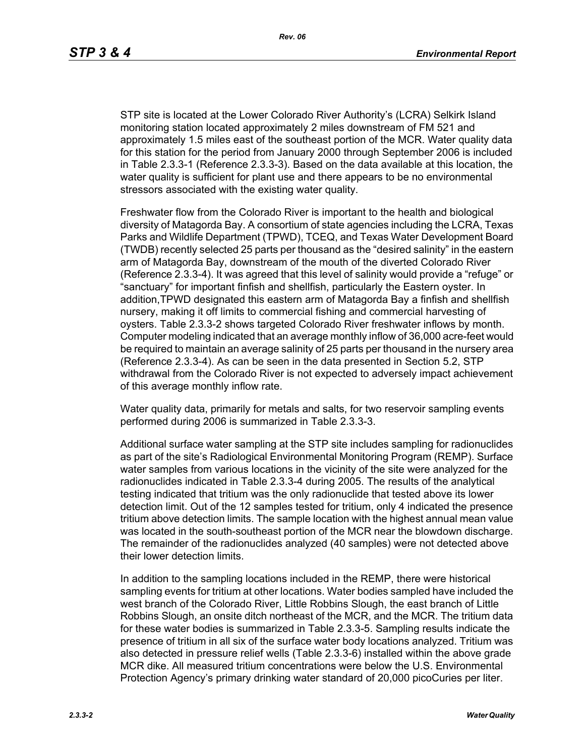STP site is located at the Lower Colorado River Authority's (LCRA) Selkirk Island monitoring station located approximately 2 miles downstream of FM 521 and approximately 1.5 miles east of the southeast portion of the MCR. Water quality data for this station for the period from January 2000 through September 2006 is included in Table 2.3.3-1 (Reference 2.3.3-3). Based on the data available at this location, the water quality is sufficient for plant use and there appears to be no environmental stressors associated with the existing water quality.

Freshwater flow from the Colorado River is important to the health and biological diversity of Matagorda Bay. A consortium of state agencies including the LCRA, Texas Parks and Wildlife Department (TPWD), TCEQ, and Texas Water Development Board (TWDB) recently selected 25 parts per thousand as the "desired salinity" in the eastern arm of Matagorda Bay, downstream of the mouth of the diverted Colorado River (Reference 2.3.3-4). It was agreed that this level of salinity would provide a "refuge" or "sanctuary" for important finfish and shellfish, particularly the Eastern oyster. In addition,TPWD designated this eastern arm of Matagorda Bay a finfish and shellfish nursery, making it off limits to commercial fishing and commercial harvesting of oysters. Table 2.3.3-2 shows targeted Colorado River freshwater inflows by month. Computer modeling indicated that an average monthly inflow of 36,000 acre-feet would be required to maintain an average salinity of 25 parts per thousand in the nursery area (Reference 2.3.3-4). As can be seen in the data presented in Section 5.2, STP withdrawal from the Colorado River is not expected to adversely impact achievement of this average monthly inflow rate.

Water quality data, primarily for metals and salts, for two reservoir sampling events performed during 2006 is summarized in Table 2.3.3-3.

Additional surface water sampling at the STP site includes sampling for radionuclides as part of the site's Radiological Environmental Monitoring Program (REMP). Surface water samples from various locations in the vicinity of the site were analyzed for the radionuclides indicated in Table 2.3.3-4 during 2005. The results of the analytical testing indicated that tritium was the only radionuclide that tested above its lower detection limit. Out of the 12 samples tested for tritium, only 4 indicated the presence tritium above detection limits. The sample location with the highest annual mean value was located in the south-southeast portion of the MCR near the blowdown discharge. The remainder of the radionuclides analyzed (40 samples) were not detected above their lower detection limits.

In addition to the sampling locations included in the REMP, there were historical sampling events for tritium at other locations. Water bodies sampled have included the west branch of the Colorado River, Little Robbins Slough, the east branch of Little Robbins Slough, an onsite ditch northeast of the MCR, and the MCR. The tritium data for these water bodies is summarized in Table 2.3.3-5. Sampling results indicate the presence of tritium in all six of the surface water body locations analyzed. Tritium was also detected in pressure relief wells (Table 2.3.3-6) installed within the above grade MCR dike. All measured tritium concentrations were below the U.S. Environmental Protection Agency's primary drinking water standard of 20,000 picoCuries per liter.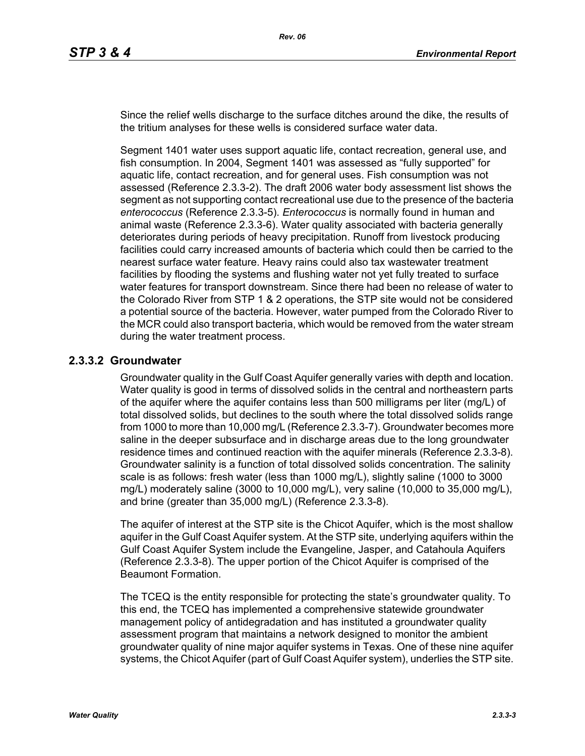Since the relief wells discharge to the surface ditches around the dike, the results of the tritium analyses for these wells is considered surface water data.

Segment 1401 water uses support aquatic life, contact recreation, general use, and fish consumption. In 2004, Segment 1401 was assessed as "fully supported" for aquatic life, contact recreation, and for general uses. Fish consumption was not assessed (Reference 2.3.3-2). The draft 2006 water body assessment list shows the segment as not supporting contact recreational use due to the presence of the bacteria *enterococcus* (Reference 2.3.3-5). *Enterococcus* is normally found in human and animal waste (Reference 2.3.3-6). Water quality associated with bacteria generally deteriorates during periods of heavy precipitation. Runoff from livestock producing facilities could carry increased amounts of bacteria which could then be carried to the nearest surface water feature. Heavy rains could also tax wastewater treatment facilities by flooding the systems and flushing water not yet fully treated to surface water features for transport downstream. Since there had been no release of water to the Colorado River from STP 1 & 2 operations, the STP site would not be considered a potential source of the bacteria. However, water pumped from the Colorado River to the MCR could also transport bacteria, which would be removed from the water stream during the water treatment process.

### **2.3.3.2 Groundwater**

Groundwater quality in the Gulf Coast Aquifer generally varies with depth and location. Water quality is good in terms of dissolved solids in the central and northeastern parts of the aquifer where the aquifer contains less than 500 milligrams per liter (mg/L) of total dissolved solids, but declines to the south where the total dissolved solids range from 1000 to more than 10,000 mg/L (Reference 2.3.3-7). Groundwater becomes more saline in the deeper subsurface and in discharge areas due to the long groundwater residence times and continued reaction with the aquifer minerals (Reference 2.3.3-8). Groundwater salinity is a function of total dissolved solids concentration. The salinity scale is as follows: fresh water (less than 1000 mg/L), slightly saline (1000 to 3000 mg/L) moderately saline (3000 to 10,000 mg/L), very saline (10,000 to 35,000 mg/L), and brine (greater than 35,000 mg/L) (Reference 2.3.3-8).

The aquifer of interest at the STP site is the Chicot Aquifer, which is the most shallow aquifer in the Gulf Coast Aquifer system. At the STP site, underlying aquifers within the Gulf Coast Aquifer System include the Evangeline, Jasper, and Catahoula Aquifers (Reference 2.3.3-8). The upper portion of the Chicot Aquifer is comprised of the Beaumont Formation.

The TCEQ is the entity responsible for protecting the state's groundwater quality. To this end, the TCEQ has implemented a comprehensive statewide groundwater management policy of antidegradation and has instituted a groundwater quality assessment program that maintains a network designed to monitor the ambient groundwater quality of nine major aquifer systems in Texas. One of these nine aquifer systems, the Chicot Aquifer (part of Gulf Coast Aquifer system), underlies the STP site.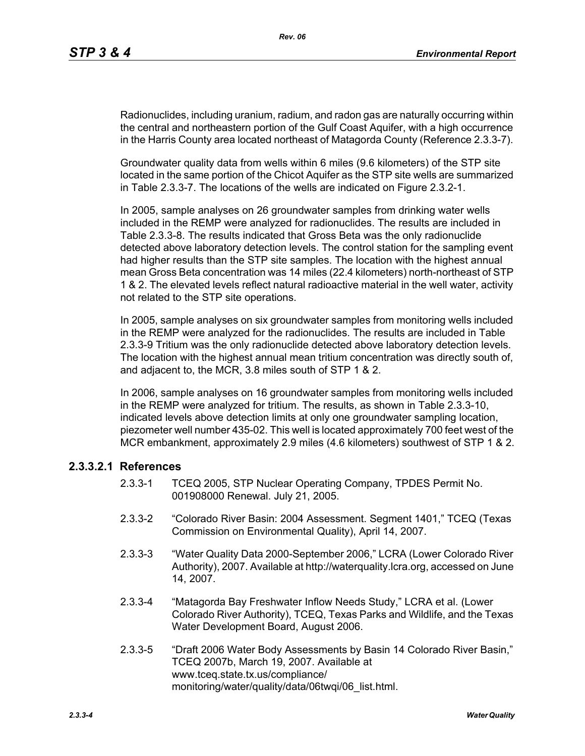Radionuclides, including uranium, radium, and radon gas are naturally occurring within the central and northeastern portion of the Gulf Coast Aquifer, with a high occurrence in the Harris County area located northeast of Matagorda County (Reference 2.3.3-7).

Groundwater quality data from wells within 6 miles (9.6 kilometers) of the STP site located in the same portion of the Chicot Aquifer as the STP site wells are summarized in Table 2.3.3-7. The locations of the wells are indicated on Figure 2.3.2-1.

In 2005, sample analyses on 26 groundwater samples from drinking water wells included in the REMP were analyzed for radionuclides. The results are included in Table 2.3.3-8. The results indicated that Gross Beta was the only radionuclide detected above laboratory detection levels. The control station for the sampling event had higher results than the STP site samples. The location with the highest annual mean Gross Beta concentration was 14 miles (22.4 kilometers) north-northeast of STP 1 & 2. The elevated levels reflect natural radioactive material in the well water, activity not related to the STP site operations.

In 2005, sample analyses on six groundwater samples from monitoring wells included in the REMP were analyzed for the radionuclides. The results are included in Table 2.3.3-9 Tritium was the only radionuclide detected above laboratory detection levels. The location with the highest annual mean tritium concentration was directly south of, and adjacent to, the MCR, 3.8 miles south of STP 1 & 2.

In 2006, sample analyses on 16 groundwater samples from monitoring wells included in the REMP were analyzed for tritium. The results, as shown in Table 2.3.3-10, indicated levels above detection limits at only one groundwater sampling location, piezometer well number 435-02. This well is located approximately 700 feet west of the MCR embankment, approximately 2.9 miles (4.6 kilometers) southwest of STP 1 & 2.

### **2.3.3.2.1 References**

- 2.3.3-1 TCEQ 2005, STP Nuclear Operating Company, TPDES Permit No. 001908000 Renewal. July 21, 2005.
- 2.3.3-2 "Colorado River Basin: 2004 Assessment. Segment 1401," TCEQ (Texas Commission on Environmental Quality), April 14, 2007.
- 2.3.3-3 "Water Quality Data 2000-September 2006," LCRA (Lower Colorado River Authority), 2007. Available at http://waterquality.lcra.org, accessed on June 14, 2007.
- 2.3.3-4 "Matagorda Bay Freshwater Inflow Needs Study," LCRA et al. (Lower Colorado River Authority), TCEQ, Texas Parks and Wildlife, and the Texas Water Development Board, August 2006.
- 2.3.3-5 "Draft 2006 Water Body Assessments by Basin 14 Colorado River Basin," TCEQ 2007b, March 19, 2007. Available at www.tceq.state.tx.us/compliance/ monitoring/water/quality/data/06twqi/06\_list.html.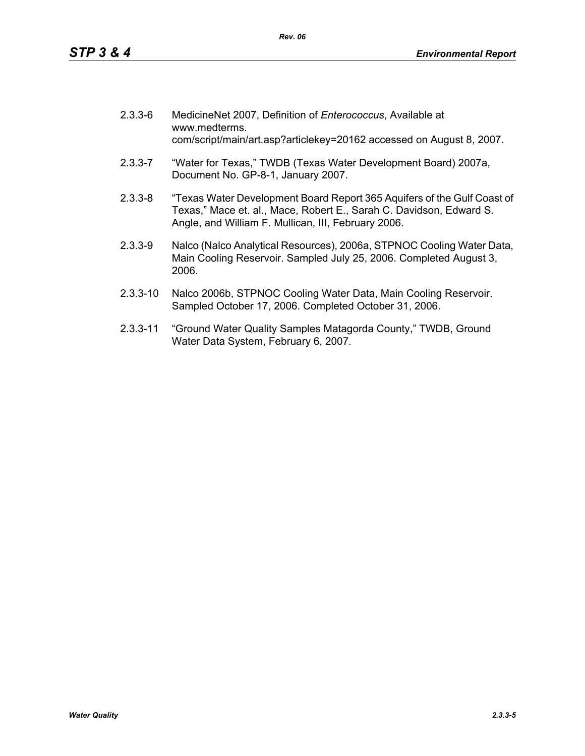| $2.3.3 - 6$ | MedicineNet 2007, Definition of Enterococcus, Available at<br>www.medterms.<br>com/script/main/art.asp?articlekey=20162 accessed on August 8, 2007.                                                   |
|-------------|-------------------------------------------------------------------------------------------------------------------------------------------------------------------------------------------------------|
| $2.3.3 - 7$ | "Water for Texas," TWDB (Texas Water Development Board) 2007a,<br>Document No. GP-8-1, January 2007.                                                                                                  |
| $2.3.3 - 8$ | "Texas Water Development Board Report 365 Aquifers of the Gulf Coast of<br>Texas," Mace et. al., Mace, Robert E., Sarah C. Davidson, Edward S.<br>Angle, and William F. Mullican, III, February 2006. |
| $2.3.3 - 9$ | Nalco (Nalco Analytical Resources), 2006a, STPNOC Cooling Water Data,                                                                                                                                 |

- Main Cooling Reservoir. Sampled July 25, 2006. Completed August 3, 2006.
- 2.3.3-10 Nalco 2006b, STPNOC Cooling Water Data, Main Cooling Reservoir. Sampled October 17, 2006. Completed October 31, 2006.
- 2.3.3-11 "Ground Water Quality Samples Matagorda County," TWDB, Ground Water Data System, February 6, 2007.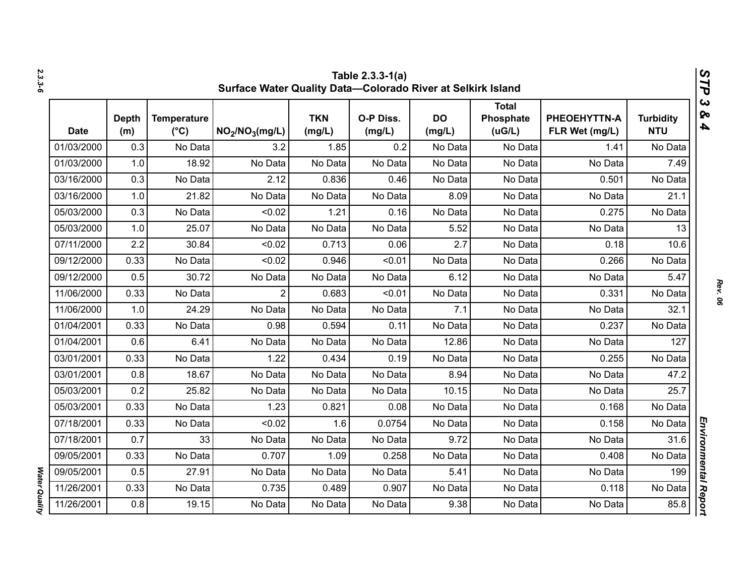|             | Table 2.3.3-1(a)<br>V,<br>Surface Water Quality Data-Colorado River at Selkirk Island<br>٦ |                                     |                                         |                      |                     |                     |                                     |                                |                                |  |  |
|-------------|--------------------------------------------------------------------------------------------|-------------------------------------|-----------------------------------------|----------------------|---------------------|---------------------|-------------------------------------|--------------------------------|--------------------------------|--|--|
| <b>Date</b> | <b>Depth</b><br>(m)                                                                        | <b>Temperature</b><br>$(^{\circ}C)$ | NO <sub>2</sub> /NO <sub>3</sub> (mg/L) | <b>TKN</b><br>(mg/L) | O-P Diss.<br>(mg/L) | <b>DO</b><br>(mg/L) | <b>Total</b><br>Phosphate<br>(UG/L) | PHEOEHYTTN-A<br>FLR Wet (mg/L) | <b>Turbidity</b><br><b>NTU</b> |  |  |
| 01/03/2000  | 0.3                                                                                        | No Data                             | 3.2                                     | 1.85                 | 0.2                 | No Data             | No Data                             | 1.41                           | No Data                        |  |  |
| 01/03/2000  | 1.0                                                                                        | 18.92                               | No Data                                 | No Data              | No Data             | No Data             | No Data                             | No Data                        | 7.49                           |  |  |
| 03/16/2000  | 0.3                                                                                        | No Data                             | 2.12                                    | 0.836                | 0.46                | No Data             | No Data                             | 0.501                          | No Data                        |  |  |
| 03/16/2000  | 1.0                                                                                        | 21.82                               | No Data                                 | No Data              | No Data             | 8.09                | No Data                             | No Data                        | 21.1                           |  |  |
| 05/03/2000  | 0.3                                                                                        | No Data                             | < 0.02                                  | 1.21                 | 0.16                | No Data             | No Data                             | 0.275                          | No Data                        |  |  |
| 05/03/2000  | 1.0                                                                                        | 25.07                               | No Data                                 | No Data              | No Data             | 5.52                | No Data                             | No Data                        | 13                             |  |  |
| 07/11/2000  | 2.2                                                                                        | 30.84                               | < 0.02                                  | 0.713                | 0.06                | 2.7                 | No Data                             | 0.18                           | 10.6                           |  |  |
| 09/12/2000  | 0.33                                                                                       | No Data                             | < 0.02                                  | 0.946                | < 0.01              | No Data             | No Data                             | 0.266                          | No Data                        |  |  |
| 09/12/2000  | 0.5                                                                                        | 30.72                               | No Data                                 | No Data              | No Data             | 6.12                | No Data                             | No Data                        | 5.47                           |  |  |
| 11/06/2000  | 0.33                                                                                       | No Data                             | $\overline{2}$                          | 0.683                | < 0.01              | No Data             | No Data                             | 0.331                          | No Data                        |  |  |
| 11/06/2000  | 1.0                                                                                        | 24.29                               | No Data                                 | No Data              | No Data             | 7.1                 | No Data                             | No Data                        | 32.1                           |  |  |
| 01/04/2001  | 0.33                                                                                       | No Data                             | 0.98                                    | 0.594                | 0.11                | No Data             | No Data                             | 0.237                          | No Data                        |  |  |
| 01/04/2001  | 0.6                                                                                        | 6.41                                | No Data                                 | No Data              | No Data             | 12.86               | No Data                             | No Data                        | 127                            |  |  |
| 03/01/2001  | 0.33                                                                                       | No Data                             | 1.22                                    | 0.434                | 0.19                | No Data             | No Data                             | 0.255                          | No Data                        |  |  |
| 03/01/2001  | 0.8                                                                                        | 18.67                               | No Data                                 | No Data              | No Data             | 8.94                | No Data                             | No Data                        | 47.2                           |  |  |
| 05/03/2001  | 0.2                                                                                        | 25.82                               | No Data                                 | No Data              | No Data             | 10.15               | No Data                             | No Data                        | 25.7                           |  |  |
| 05/03/2001  | 0.33                                                                                       | No Data                             | 1.23                                    | 0.821                | 0.08                | No Data             | No Data                             | 0.168                          | No Data                        |  |  |
| 07/18/2001  | 0.33                                                                                       | No Data                             | < 0.02                                  | 1.6                  | 0.0754              | No Data             | No Data                             | 0.158                          | No Data                        |  |  |
| 07/18/2001  | 0.7                                                                                        | 33                                  | No Data                                 | No Data              | No Data             | 9.72                | No Data                             | No Data                        | 31.6                           |  |  |
| 09/05/2001  | 0.33                                                                                       | No Data                             | 0.707                                   | 1.09                 | 0.258               | No Data             | No Data                             | 0.408                          | No Data                        |  |  |
| 09/05/2001  | 0.5                                                                                        | 27.91                               | No Data                                 | No Data              | No Data             | 5.41                | No Data                             | No Data                        | 199                            |  |  |
| 11/26/2001  | 0.33                                                                                       | No Data                             | 0.735                                   | 0.489                | 0.907               | No Data             | No Data                             | 0.118                          | No Data                        |  |  |
| 11/26/2001  | 0.8                                                                                        | 19.15                               | No Data                                 | No Data              | No Data             | 9.38                | No Data                             | No Data                        | 85.8                           |  |  |

*2.3.3-6*

*Rev. 06*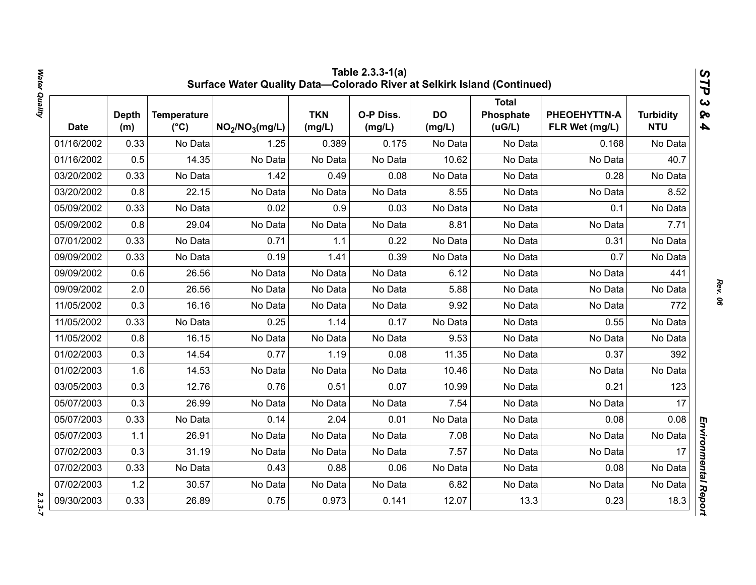|             |                     |                                     | Surface Water Quality Data-Colorado River at Selkirk Island (Continued) |                      | Table 2.3.3-1(a)    |                     |                                     |                                |                                | STP                                              |
|-------------|---------------------|-------------------------------------|-------------------------------------------------------------------------|----------------------|---------------------|---------------------|-------------------------------------|--------------------------------|--------------------------------|--------------------------------------------------|
| <b>Date</b> | <b>Depth</b><br>(m) | <b>Temperature</b><br>$(^{\circ}C)$ | NO <sub>2</sub> /NO <sub>3</sub> (mg/L)                                 | <b>TKN</b><br>(mg/L) | O-P Diss.<br>(mg/L) | <b>DO</b><br>(mg/L) | <b>Total</b><br>Phosphate<br>(uG/L) | PHEOEHYTTN-A<br>FLR Wet (mg/L) | <b>Turbidity</b><br><b>NTU</b> | $\boldsymbol{\omega}$<br>ନ୍ତ<br>$\blacktriangle$ |
| 01/16/2002  | 0.33                | No Data                             | 1.25                                                                    | 0.389                | 0.175               | No Data             | No Data                             | 0.168                          | No Data                        |                                                  |
| 01/16/2002  | 0.5                 | 14.35                               | No Data                                                                 | No Data              | No Data             | 10.62               | No Data                             | No Data                        | 40.7                           |                                                  |
| 03/20/2002  | 0.33                | No Data                             | 1.42                                                                    | 0.49                 | 0.08                | No Data             | No Data                             | 0.28                           | No Data                        |                                                  |
| 03/20/2002  | 0.8                 | 22.15                               | No Data                                                                 | No Data              | No Data             | 8.55                | No Data                             | No Data                        | 8.52                           |                                                  |
| 05/09/2002  | 0.33                | No Data                             | 0.02                                                                    | 0.9                  | 0.03                | No Data             | No Data                             | 0.1                            | No Data                        |                                                  |
| 05/09/2002  | 0.8                 | 29.04                               | No Data                                                                 | No Data              | No Data             | 8.81                | No Data                             | No Data                        | 7.71                           |                                                  |
| 07/01/2002  | 0.33                | No Data                             | 0.71                                                                    | 1.1                  | 0.22                | No Data             | No Data                             | 0.31                           | No Data                        |                                                  |
| 09/09/2002  | 0.33                | No Data                             | 0.19                                                                    | 1.41                 | 0.39                | No Data             | No Data                             | 0.7                            | No Data                        |                                                  |
| 09/09/2002  | 0.6                 | 26.56                               | No Data                                                                 | No Data              | No Data             | 6.12                | No Data                             | No Data                        | 441                            |                                                  |
| 09/09/2002  | 2.0                 | 26.56                               | No Data                                                                 | No Data              | No Data             | 5.88                | No Data                             | No Data                        | No Data                        |                                                  |
| 11/05/2002  | 0.3                 | 16.16                               | No Data                                                                 | No Data              | No Data             | 9.92                | No Data                             | No Data                        | 772                            |                                                  |
| 11/05/2002  | 0.33                | No Data                             | 0.25                                                                    | 1.14                 | 0.17                | No Data             | No Data                             | 0.55                           | No Data                        |                                                  |
| 11/05/2002  | 0.8                 | 16.15                               | No Data                                                                 | No Data              | No Data             | 9.53                | No Data                             | No Data                        | No Data                        |                                                  |
| 01/02/2003  | 0.3                 | 14.54                               | 0.77                                                                    | 1.19                 | 0.08                | 11.35               | No Data                             | 0.37                           | 392                            |                                                  |
| 01/02/2003  | 1.6                 | 14.53                               | No Data                                                                 | No Data              | No Data             | 10.46               | No Data                             | No Data                        | No Data                        |                                                  |
| 03/05/2003  | 0.3                 | 12.76                               | 0.76                                                                    | 0.51                 | 0.07                | 10.99               | No Data                             | 0.21                           | 123                            |                                                  |
| 05/07/2003  | 0.3                 | 26.99                               | No Data                                                                 | No Data              | No Data             | 7.54                | No Data                             | No Data                        | 17                             |                                                  |
| 05/07/2003  | 0.33                | No Data                             | 0.14                                                                    | 2.04                 | 0.01                | No Data             | No Data                             | 0.08                           | 0.08                           |                                                  |
| 05/07/2003  | 1.1                 | 26.91                               | No Data                                                                 | No Data              | No Data             | 7.08                | No Data                             | No Data                        | No Data                        |                                                  |
| 07/02/2003  | 0.3                 | 31.19                               | No Data                                                                 | No Data              | No Data             | 7.57                | No Data                             | No Data                        | 17                             |                                                  |
| 07/02/2003  | 0.33                | No Data                             | 0.43                                                                    | 0.88                 | 0.06                | No Data             | No Data                             | 0.08                           | No Data                        |                                                  |
| 07/02/2003  | 1.2                 | 30.57                               | No Data                                                                 | No Data              | No Data             | 6.82                | No Data                             | No Data                        | No Data                        |                                                  |
| 09/30/2003  | 0.33                | 26.89                               | 0.75                                                                    | 0.973                | 0.141               | 12.07               | 13.3                                | 0.23                           | 18.3                           | Environmental Report                             |

*Water Quality 2.3.3-7*  $2.3.3 - 7$ 

Water Quality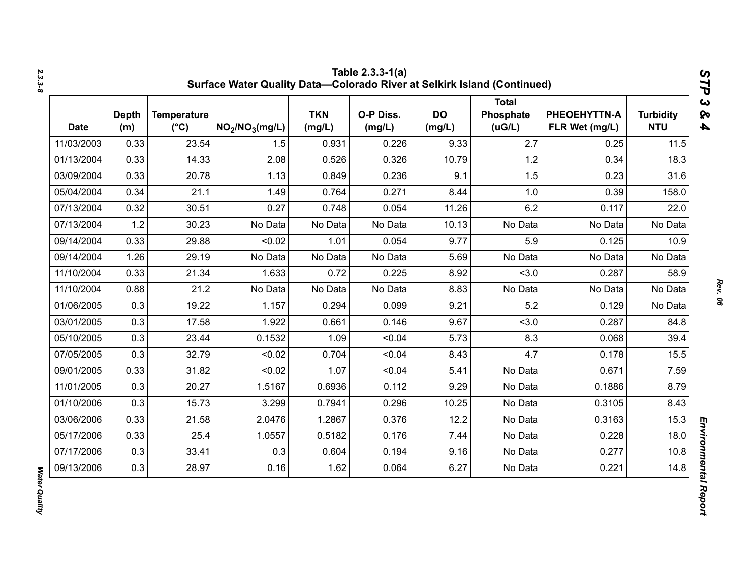| <b>Date</b> | <b>Depth</b><br>(m) | <b>Temperature</b><br>$(^{\circ}C)$ | NO <sub>2</sub> /NO <sub>3</sub> (mg/L) | <b>TKN</b><br>(mg/L) | O-P Diss.<br>(mg/L) | <b>DO</b><br>(mg/L) | <b>Total</b><br>Phosphate<br>(UG/L) | PHEOEHYTTN-A<br>FLR Wet (mg/L) | <b>Turbidity</b><br><b>NTU</b> |
|-------------|---------------------|-------------------------------------|-----------------------------------------|----------------------|---------------------|---------------------|-------------------------------------|--------------------------------|--------------------------------|
| 11/03/2003  | 0.33                | 23.54                               | 1.5                                     | 0.931                | 0.226               | 9.33                | 2.7                                 | 0.25                           | 11.5                           |
| 01/13/2004  | 0.33                | 14.33                               | 2.08                                    | 0.526                | 0.326               | 10.79               | 1.2                                 | 0.34                           | 18.3                           |
| 03/09/2004  | 0.33                | 20.78                               | 1.13                                    | 0.849                | 0.236               | 9.1                 | 1.5                                 | 0.23                           | 31.6                           |
| 05/04/2004  | 0.34                | 21.1                                | 1.49                                    | 0.764                | 0.271               | 8.44                | 1.0                                 | 0.39                           | 158.0                          |
| 07/13/2004  | 0.32                | 30.51                               | 0.27                                    | 0.748                | 0.054               | 11.26               | 6.2                                 | 0.117                          | 22.0                           |
| 07/13/2004  | 1.2                 | 30.23                               | No Data                                 | No Data              | No Data             | 10.13               | No Data                             | No Data                        | No Data                        |
| 09/14/2004  | 0.33                | 29.88                               | < 0.02                                  | 1.01                 | 0.054               | 9.77                | 5.9                                 | 0.125                          | 10.9                           |
| 09/14/2004  | 1.26                | 29.19                               | No Data                                 | No Data              | No Data             | 5.69                | No Data                             | No Data                        | No Data                        |
| 11/10/2004  | 0.33                | 21.34                               | 1.633                                   | 0.72                 | 0.225               | 8.92                | < 3.0                               | 0.287                          | 58.9                           |
| 11/10/2004  | 0.88                | 21.2                                | No Data                                 | No Data              | No Data             | 8.83                | No Data                             | No Data                        | No Data                        |
| 01/06/2005  | 0.3                 | 19.22                               | 1.157                                   | 0.294                | 0.099               | 9.21                | 5.2                                 | 0.129                          | No Data                        |
| 03/01/2005  | 0.3                 | 17.58                               | 1.922                                   | 0.661                | 0.146               | 9.67                | < 3.0                               | 0.287                          | 84.8                           |
| 05/10/2005  | 0.3                 | 23.44                               | 0.1532                                  | 1.09                 | < 0.04              | 5.73                | 8.3                                 | 0.068                          | 39.4                           |
| 07/05/2005  | 0.3                 | 32.79                               | < 0.02                                  | 0.704                | < 0.04              | 8.43                | 4.7                                 | 0.178                          | 15.5                           |
| 09/01/2005  | 0.33                | 31.82                               | < 0.02                                  | 1.07                 | < 0.04              | 5.41                | No Data                             | 0.671                          | 7.59                           |
| 11/01/2005  | 0.3                 | 20.27                               | 1.5167                                  | 0.6936               | 0.112               | 9.29                | No Data                             | 0.1886                         | 8.79                           |
| 01/10/2006  | 0.3                 | 15.73                               | 3.299                                   | 0.7941               | 0.296               | 10.25               | No Data                             | 0.3105                         | 8.43                           |
| 03/06/2006  | 0.33                | 21.58                               | 2.0476                                  | 1.2867               | 0.376               | 12.2                | No Data                             | 0.3163                         | 15.3                           |
| 05/17/2006  | 0.33                | 25.4                                | 1.0557                                  | 0.5182               | 0.176               | 7.44                | No Data                             | 0.228                          | 18.0                           |
| 07/17/2006  | 0.3                 | 33.41                               | 0.3                                     | 0.604                | 0.194               | 9.16                | No Data                             | 0.277                          | 10.8                           |
| 09/13/2006  | 0.3                 | 28.97                               | 0.16                                    | 1.62                 | 0.064               | 6.27                | No Data                             | 0.221                          | 14.8                           |

Water Quality *Water Quality*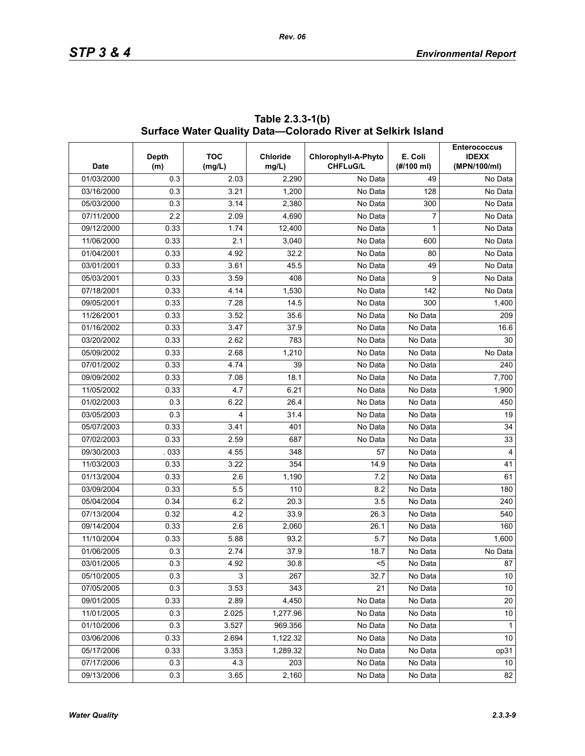| <b>Date</b> | <b>Depth</b><br>(m) | <b>TOC</b><br>(mg/L) | <b>Chloride</b><br>mg/L) | Chlorophyll-A-Phyto<br><b>CHFLuG/L</b> | E. Coli<br>(H/100 ml) | <b>Enterococcus</b><br><b>IDEXX</b><br>(MPN/100/ml) |
|-------------|---------------------|----------------------|--------------------------|----------------------------------------|-----------------------|-----------------------------------------------------|
| 01/03/2000  | 0.3                 | 2.03                 | 2,290                    | No Data                                | 49                    | No Data                                             |
| 03/16/2000  | 0.3                 | 3.21                 | 1,200                    | No Data                                | 128                   | No Data                                             |
| 05/03/2000  | 0.3                 | 3.14                 | 2,380                    | No Data                                | 300                   | No Data                                             |
| 07/11/2000  | 2.2                 | 2.09                 | 4,690                    | No Data                                | 7                     | No Data                                             |
| 09/12/2000  | 0.33                | 1.74                 | 12,400                   | No Data                                | 1                     | No Data                                             |
| 11/06/2000  | 0.33                | 2.1                  | 3,040                    | No Data                                | 600                   | No Data                                             |
| 01/04/2001  | 0.33                | 4.92                 | 32.2                     | No Data                                | 80                    | No Data                                             |
| 03/01/2001  | 0.33                | 3.61                 | 45.5                     | No Data                                | 49                    | No Data                                             |
| 05/03/2001  | 0.33                | 3.59                 | 408                      | No Data                                | 9                     | No Data                                             |
| 07/18/2001  | 0.33                | 4.14                 | 1,530                    | No Data                                | 142                   | No Data                                             |
| 09/05/2001  | 0.33                | 7.28                 | 14.5                     | No Data                                | 300                   | 1,400                                               |
| 11/26/2001  | 0.33                | 3.52                 | 35.6                     | No Data                                | No Data               | 209                                                 |
| 01/16/2002  | 0.33                | 3.47                 | 37.9                     | No Data                                | No Data               | 16.6                                                |
| 03/20/2002  | 0.33                | 2.62                 | 783                      | No Data                                | No Data               | 30                                                  |
| 05/09/2002  | 0.33                | 2.68                 | 1,210                    | No Data                                | No Data               | No Data                                             |
| 07/01/2002  | 0.33                | 4.74                 | 39                       | No Data                                | No Data               | 240                                                 |
| 09/09/2002  | 0.33                | 7.08                 | 18.1                     | No Data                                | No Data               | 7,700                                               |
| 11/05/2002  | 0.33                | 4.7                  | 6.21                     | No Data                                | No Data               | 1,900                                               |
| 01/02/2003  | 0.3                 | 6.22                 | 26.4                     | No Data                                | No Data               | 450                                                 |
| 03/05/2003  | 0.3                 | 4                    | 31.4                     | No Data                                | No Data               | 19                                                  |
| 05/07/2003  | 0.33                | 3.41                 | 401                      | No Data                                | No Data               | 34                                                  |
| 07/02/2003  | 0.33                | 2.59                 | 687                      | No Data                                | No Data               | 33                                                  |
| 09/30/2003  | 033                 | 4.55                 | 348                      | 57                                     | No Data               | 4                                                   |
| 11/03/2003  | 0.33                | 3.22                 | 354                      | 14.9                                   | No Data               | 41                                                  |
| 01/13/2004  | 0.33                | 2.6                  | 1,190                    | 7.2                                    | No Data               | 61                                                  |
| 03/09/2004  | 0.33                | 5.5                  | 110                      | 8.2                                    | No Data               | 180                                                 |
| 05/04/2004  | 0.34                | 6.2                  | 20.3                     | 3.5                                    | No Data               | 240                                                 |
| 07/13/2004  | 0.32                | 4.2                  | 33.9                     | 26.3                                   | No Data               | 540                                                 |
| 09/14/2004  | 0.33                | 2.6                  | 2,060                    | 26.1                                   | No Data               | 160                                                 |
| 11/10/2004  | 0.33                | 5.88                 | 93.2                     | 5.7                                    | No Data               | 1,600                                               |
| 01/06/2005  | 0.3                 | 2.74                 | 37.9                     | 18.7                                   | No Data               | No Data                                             |
| 03/01/2005  | 0.3                 | 4.92                 | 30.8                     | $5$                                    | No Data               | 87                                                  |
| 05/10/2005  | 0.3                 | 3                    | 267                      | 32.7                                   | No Data               | 10                                                  |
| 07/05/2005  | 0.3                 | 3.53                 | 343                      | 21                                     | No Data               | $10\,$                                              |
| 09/01/2005  | 0.33                | 2.89                 | 4,450                    | No Data                                | No Data               | 20                                                  |
| 11/01/2005  | 0.3                 | 2.025                | 1,277.96                 | No Data                                | No Data               | 10                                                  |
| 01/10/2006  | 0.3                 | 3.527                | 969.356                  | No Data                                | No Data               | $\mathbf{1}$                                        |
| 03/06/2006  | 0.33                | 2.694                | 1,122.32                 | No Data                                | No Data               | 10                                                  |
| 05/17/2006  | 0.33                | 3.353                | 1,289.32                 | No Data                                | No Data               | op31                                                |
| 07/17/2006  | 0.3                 | 4.3                  | 203                      | No Data                                | No Data               | 10                                                  |
| 09/13/2006  | 0.3                 | 3.65                 | 2,160                    | No Data                                | No Data               | 82                                                  |

**Table 2.3.3-1(b) Surface Water Quality Data—Colorado River at Selkirk Island**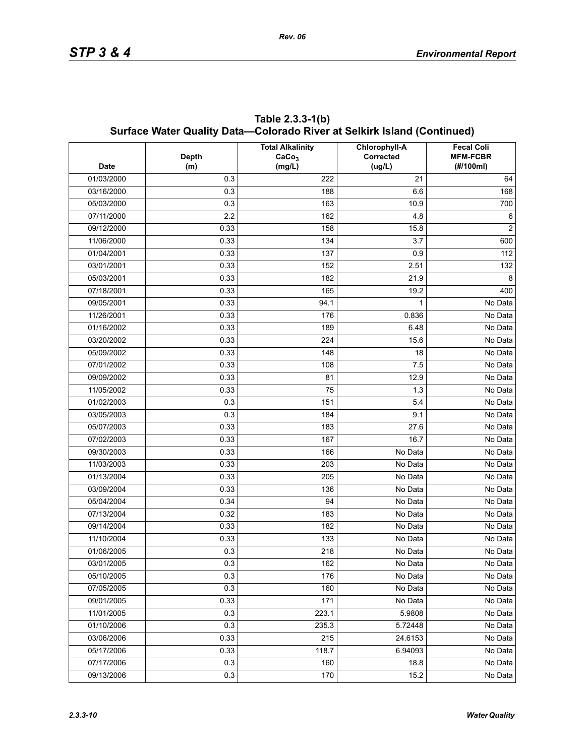|             |              | Surface Water Quality Data—Colorado River at Selkirk Island (Continued)<br><b>Total Alkalinity</b> | Chlorophyll-A | <b>Fecal Coli</b>            |
|-------------|--------------|----------------------------------------------------------------------------------------------------|---------------|------------------------------|
| <b>Date</b> | <b>Depth</b> | CaCo <sub>3</sub>                                                                                  | Corrected     | <b>MFM-FCBR</b><br>(#/100ml) |
| 01/03/2000  | (m)<br>0.3   | (mg/L)<br>222                                                                                      | (ug/L)<br>21  |                              |
| 03/16/2000  | 0.3          | 188                                                                                                | 6.6           | 64<br>168                    |
|             | 0.3          |                                                                                                    | 10.9          |                              |
| 05/03/2000  |              | 163                                                                                                |               | 700                          |
| 07/11/2000  | 2.2          | 162                                                                                                | 4.8           | 6<br>2                       |
| 09/12/2000  | 0.33         | 158                                                                                                | 15.8          |                              |
| 11/06/2000  | 0.33         | 134                                                                                                | 3.7           | 600                          |
| 01/04/2001  | 0.33         | 137                                                                                                | 0.9           | 112                          |
| 03/01/2001  | 0.33         | 152                                                                                                | 2.51          | 132                          |
| 05/03/2001  | 0.33         | 182                                                                                                | 21.9          | 8                            |
| 07/18/2001  | 0.33         | 165                                                                                                | 19.2          | 400                          |
| 09/05/2001  | 0.33         | 94.1                                                                                               | 1             | No Data                      |
| 11/26/2001  | 0.33         | 176                                                                                                | 0.836         | No Data                      |
| 01/16/2002  | 0.33         | 189                                                                                                | 6.48          | No Data                      |
| 03/20/2002  | 0.33         | 224                                                                                                | 15.6          | No Data                      |
| 05/09/2002  | 0.33         | 148                                                                                                | 18            | No Data                      |
| 07/01/2002  | 0.33         | 108                                                                                                | 7.5           | No Data                      |
| 09/09/2002  | 0.33         | 81                                                                                                 | 12.9          | No Data                      |
| 11/05/2002  | 0.33         | 75                                                                                                 | 1.3           | No Data                      |
| 01/02/2003  | 0.3          | 151                                                                                                | 5.4           | No Data                      |
| 03/05/2003  | 0.3          | 184                                                                                                | 9.1           | No Data                      |
| 05/07/2003  | 0.33         | 183                                                                                                | 27.6          | No Data                      |
| 07/02/2003  | 0.33         | 167                                                                                                | 16.7          | No Data                      |
| 09/30/2003  | 0.33         | 166                                                                                                | No Data       | No Data                      |
| 11/03/2003  | 0.33         | 203                                                                                                | No Data       | No Data                      |
| 01/13/2004  | 0.33         | 205                                                                                                | No Data       | No Data                      |
| 03/09/2004  | 0.33         | 136                                                                                                | No Data       | No Data                      |
| 05/04/2004  | 0.34         | 94                                                                                                 | No Data       | No Data                      |
| 07/13/2004  | 0.32         | 183                                                                                                | No Data       | No Data                      |
| 09/14/2004  | 0.33         | 182                                                                                                | No Data       | No Data                      |
| 11/10/2004  | 0.33         | 133                                                                                                | No Data       | No Data                      |
| 01/06/2005  | 0.3          | 218                                                                                                | No Data       | No Data                      |
| 03/01/2005  | 0.3          | 162                                                                                                | No Data       | No Data                      |
| 05/10/2005  | 0.3          | 176                                                                                                | No Data       | No Data                      |
| 07/05/2005  | 0.3          | 160                                                                                                | No Data       | No Data                      |
| 09/01/2005  | 0.33         | 171                                                                                                | No Data       | No Data                      |
| 11/01/2005  | 0.3          | 223.1                                                                                              | 5.9808        | No Data                      |
| 01/10/2006  | 0.3          | 235.3                                                                                              | 5.72448       | No Data                      |
| 03/06/2006  | 0.33         | 215                                                                                                | 24.6153       | No Data                      |
| 05/17/2006  | 0.33         | 118.7                                                                                              | 6.94093       | No Data                      |
| 07/17/2006  | 0.3          | 160                                                                                                | 18.8          | No Data                      |
| 09/13/2006  | 0.3          | 170                                                                                                | 15.2          | No Data                      |

**Table 2.3.3-1(b) Surface Water Quality Data—Colorado River at Selkirk Island (Continued)**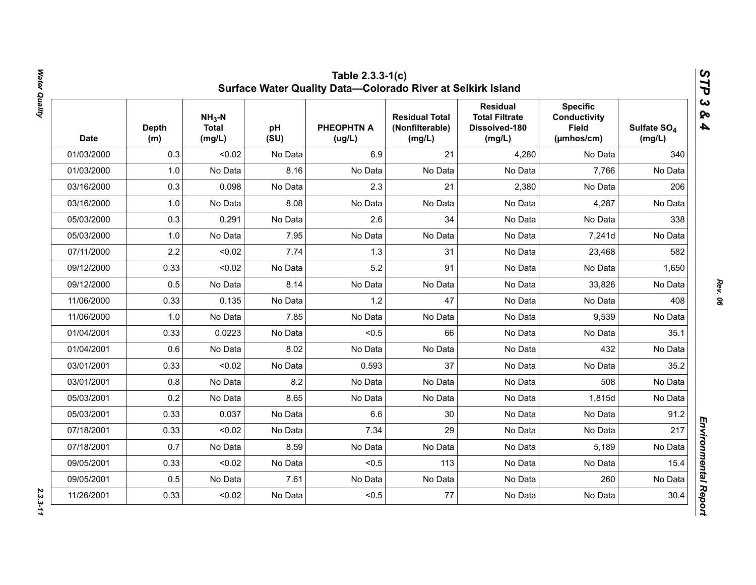| <b>Date</b> | <b>Depth</b><br>(m) | $NH3-N$<br><b>Total</b><br>(mg/L) | pH<br>(SU) | <b>PHEOPHTN A</b><br>(ug/L) | <b>Residual Total</b><br>(Nonfilterable)<br>(mg/L) | <b>Residual</b><br><b>Total Filtrate</b><br>Dissolved-180<br>(mg/L) | <b>Specific</b><br><b>Conductivity</b><br><b>Field</b><br>(µmhos/cm) | Sulfate SO <sub>4</sub><br>(mg/L) |
|-------------|---------------------|-----------------------------------|------------|-----------------------------|----------------------------------------------------|---------------------------------------------------------------------|----------------------------------------------------------------------|-----------------------------------|
| 01/03/2000  | 0.3                 | < 0.02                            | No Data    | 6.9                         | 21                                                 | 4,280                                                               | No Data                                                              | 340                               |
| 01/03/2000  | 1.0                 | No Data                           | 8.16       | No Data                     | No Data                                            | No Data                                                             | 7,766                                                                | No Data                           |
| 03/16/2000  | 0.3                 | 0.098                             | No Data    | 2.3                         | 21                                                 | 2,380                                                               | No Data                                                              | 206                               |
| 03/16/2000  | 1.0                 | No Data                           | 8.08       | No Data                     | No Data                                            | No Data                                                             | 4,287                                                                | No Data                           |
| 05/03/2000  | 0.3                 | 0.291                             | No Data    | 2.6                         | 34                                                 | No Data                                                             | No Data                                                              | 338                               |
| 05/03/2000  | 1.0                 | No Data                           | 7.95       | No Data                     | No Data                                            | No Data                                                             | 7,241d                                                               | No Data                           |
| 07/11/2000  | 2.2                 | < 0.02                            | 7.74       | 1.3                         | 31                                                 | No Data                                                             | 23,468                                                               | 582                               |
| 09/12/2000  | 0.33                | < 0.02                            | No Data    | 5.2                         | 91                                                 | No Data                                                             | No Data                                                              | 1,650                             |
| 09/12/2000  | 0.5                 | No Data                           | 8.14       | No Data                     | No Data                                            | No Data                                                             | 33,826                                                               | No Data                           |
| 11/06/2000  | 0.33                | 0.135                             | No Data    | 1.2                         | 47                                                 | No Data                                                             | No Data                                                              | 408                               |
| 11/06/2000  | 1.0                 | No Data                           | 7.85       | No Data                     | No Data                                            | No Data                                                             | 9,539                                                                | No Data                           |
| 01/04/2001  | 0.33                | 0.0223                            | No Data    | < 0.5                       | 66                                                 | No Data                                                             | No Data                                                              | 35.1                              |
| 01/04/2001  | 0.6                 | No Data                           | 8.02       | No Data                     | No Data                                            | No Data                                                             | 432                                                                  | No Data                           |
| 03/01/2001  | 0.33                | < 0.02                            | No Data    | 0.593                       | 37                                                 | No Data                                                             | No Data                                                              | 35.2                              |
| 03/01/2001  | 0.8                 | No Data                           | 8.2        | No Data                     | No Data                                            | No Data                                                             | 508                                                                  | No Data                           |
| 05/03/2001  | 0.2                 | No Data                           | 8.65       | No Data                     | No Data                                            | No Data                                                             | 1,815d                                                               | No Data                           |
| 05/03/2001  | 0.33                | 0.037                             | No Data    | 6.6                         | 30                                                 | No Data                                                             | No Data                                                              | 91.2                              |
| 07/18/2001  | 0.33                | < 0.02                            | No Data    | 7.34                        | 29                                                 | No Data                                                             | No Data                                                              | 217                               |
| 07/18/2001  | 0.7                 | No Data                           | 8.59       | No Data                     | No Data                                            | No Data                                                             | 5,189                                                                | No Data                           |
| 09/05/2001  | 0.33                | < 0.02                            | No Data    | < 0.5                       | 113                                                | No Data                                                             | No Data                                                              | 15.4                              |
| 09/05/2001  | 0.5                 | No Data                           | 7.61       | No Data                     | No Data                                            | No Data                                                             | 260                                                                  | No Data                           |
| 11/26/2001  | 0.33                | < 0.02                            | No Data    | < 0.5                       | 77                                                 | No Data                                                             | No Data                                                              | 30.4                              |

*Rev. 06*

 $2.3.3 - 11$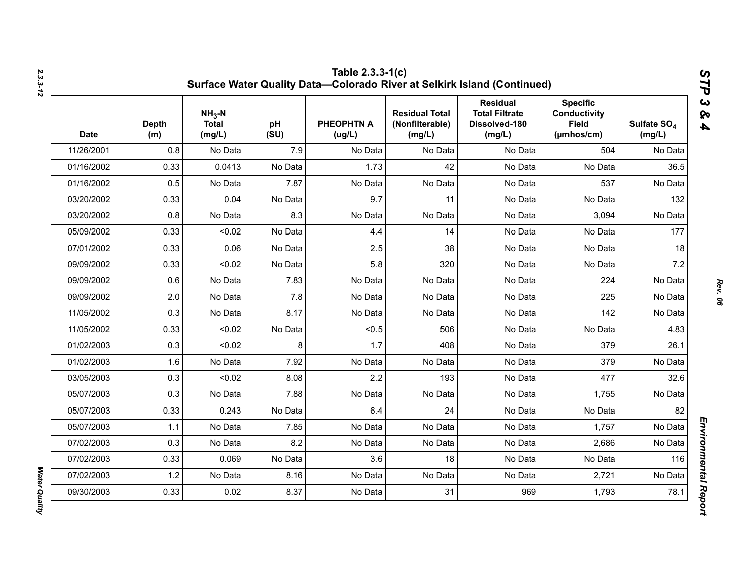| <b>Date</b> | <b>Depth</b><br>(m) | $NH3-N$<br><b>Total</b><br>(mg/L) | pH<br>(SU) | <b>PHEOPHTN A</b><br>(ug/L) | <b>Residual Total</b><br>(Nonfilterable)<br>(mg/L) | <b>Residual</b><br><b>Total Filtrate</b><br>Dissolved-180<br>(mg/L) | <b>Specific</b><br><b>Conductivity</b><br><b>Field</b><br>$(\mu m \text{hos/cm})$ | Sulfate SO <sub>4</sub><br>(mg/L) |
|-------------|---------------------|-----------------------------------|------------|-----------------------------|----------------------------------------------------|---------------------------------------------------------------------|-----------------------------------------------------------------------------------|-----------------------------------|
| 11/26/2001  | 0.8                 | No Data                           | 7.9        | No Data                     | No Data                                            | No Data                                                             | 504                                                                               | No Data                           |
| 01/16/2002  | 0.33                | 0.0413                            | No Data    | 1.73                        | 42                                                 | No Data                                                             | No Data                                                                           | 36.5                              |
| 01/16/2002  | 0.5                 | No Data                           | 7.87       | No Data                     | No Data                                            | No Data                                                             | 537                                                                               | No Data                           |
| 03/20/2002  | 0.33                | 0.04                              | No Data    | 9.7                         | 11                                                 | No Data                                                             | No Data                                                                           | 132                               |
| 03/20/2002  | 0.8                 | No Data                           | 8.3        | No Data                     | No Data                                            | No Data                                                             | 3,094                                                                             | No Data                           |
| 05/09/2002  | 0.33                | < 0.02                            | No Data    | 4.4                         | 14                                                 | No Data                                                             | No Data                                                                           | 177                               |
| 07/01/2002  | 0.33                | 0.06                              | No Data    | 2.5                         | 38                                                 | No Data                                                             | No Data                                                                           | 18                                |
| 09/09/2002  | 0.33                | < 0.02                            | No Data    | 5.8                         | 320                                                | No Data                                                             | No Data                                                                           | 7.2                               |
| 09/09/2002  | 0.6                 | No Data                           | 7.83       | No Data                     | No Data                                            | No Data                                                             | 224                                                                               | No Data                           |
| 09/09/2002  | 2.0                 | No Data                           | 7.8        | No Data                     | No Data                                            | No Data                                                             | 225                                                                               | No Data                           |
| 11/05/2002  | 0.3                 | No Data                           | 8.17       | No Data                     | No Data                                            | No Data                                                             | 142                                                                               | No Data                           |
| 11/05/2002  | 0.33                | < 0.02                            | No Data    | < 0.5                       | 506                                                | No Data                                                             | No Data                                                                           | 4.83                              |
| 01/02/2003  | 0.3                 | < 0.02                            | 8          | 1.7                         | 408                                                | No Data                                                             | 379                                                                               | 26.1                              |
| 01/02/2003  | 1.6                 | No Data                           | 7.92       | No Data                     | No Data                                            | No Data                                                             | 379                                                                               | No Data                           |
| 03/05/2003  | 0.3                 | < 0.02                            | 8.08       | 2.2                         | 193                                                | No Data                                                             | 477                                                                               | 32.6                              |
| 05/07/2003  | 0.3                 | No Data                           | 7.88       | No Data                     | No Data                                            | No Data                                                             | 1,755                                                                             | No Data                           |
| 05/07/2003  | 0.33                | 0.243                             | No Data    | 6.4                         | 24                                                 | No Data                                                             | No Data                                                                           | 82                                |
| 05/07/2003  | 1.1                 | No Data                           | 7.85       | No Data                     | No Data                                            | No Data                                                             | 1,757                                                                             | No Data                           |
| 07/02/2003  | 0.3                 | No Data                           | 8.2        | No Data                     | No Data                                            | No Data                                                             | 2,686                                                                             | No Data                           |
| 07/02/2003  | 0.33                | 0.069                             | No Data    | 3.6                         | 18                                                 | No Data                                                             | No Data                                                                           | 116                               |
| 07/02/2003  | 1.2                 | No Data                           | 8.16       | No Data                     | No Data                                            | No Data                                                             | 2,721                                                                             | No Data                           |
| 09/30/2003  | 0.33                | 0.02                              | 8.37       | No Data                     | 31                                                 | 969                                                                 | 1,793                                                                             | 78.1                              |

*Water Quality* 

**Water Quality**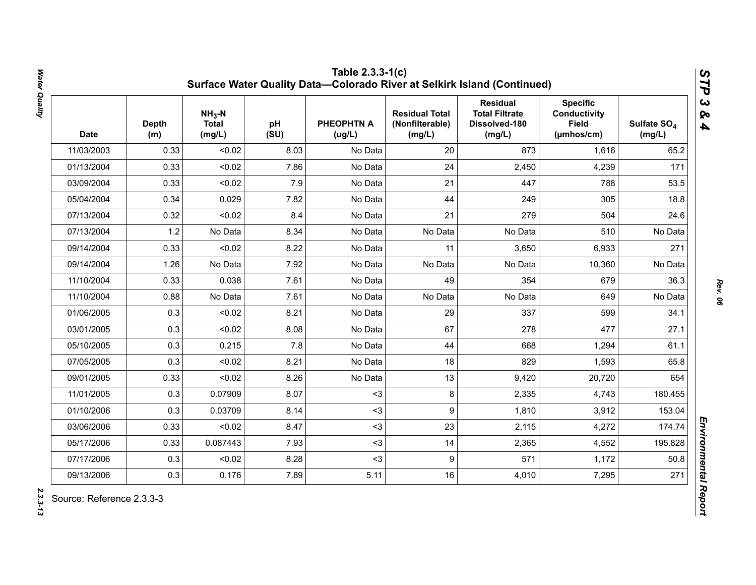| <b>Date</b> | <b>Depth</b><br>(m) | $NH3-N$<br><b>Total</b><br>(mg/L) | pH<br>(SU) | <b>PHEOPHTN A</b><br>(ug/L) | <b>Residual Total</b><br>(Nonfilterable)<br>(mg/L) | <b>Residual</b><br><b>Total Filtrate</b><br>Dissolved-180<br>(mg/L) | <b>Specific</b><br><b>Conductivity</b><br><b>Field</b><br>(µmhos/cm) | Sulfate SO <sub>4</sub><br>(mg/L) |
|-------------|---------------------|-----------------------------------|------------|-----------------------------|----------------------------------------------------|---------------------------------------------------------------------|----------------------------------------------------------------------|-----------------------------------|
| 11/03/2003  | 0.33                | < 0.02                            | 8.03       | No Data                     | 20                                                 | 873                                                                 | 1,616                                                                | 65.2                              |
| 01/13/2004  | 0.33                | < 0.02                            | 7.86       | No Data                     | 24                                                 | 2,450                                                               | 4,239                                                                | 171                               |
| 03/09/2004  | 0.33                | < 0.02                            | 7.9        | No Data                     | 21                                                 | 447                                                                 | 788                                                                  | 53.5                              |
| 05/04/2004  | 0.34                | 0.029                             | 7.82       | No Data                     | 44                                                 | 249                                                                 | 305                                                                  | 18.8                              |
| 07/13/2004  | 0.32                | < 0.02                            | 8.4        | No Data                     | 21                                                 | 279                                                                 | 504                                                                  | 24.6                              |
| 07/13/2004  | 1.2                 | No Data                           | 8.34       | No Data                     | No Data                                            | No Data                                                             | 510                                                                  | No Data                           |
| 09/14/2004  | 0.33                | < 0.02                            | 8.22       | No Data                     | 11                                                 | 3,650                                                               | 6,933                                                                | 271                               |
| 09/14/2004  | 1.26                | No Data                           | 7.92       | No Data                     | No Data                                            | No Data                                                             | 10,360                                                               | No Data                           |
| 11/10/2004  | 0.33                | 0.038                             | 7.61       | No Data                     | 49                                                 | 354                                                                 | 679                                                                  | 36.3                              |
| 11/10/2004  | 0.88                | No Data                           | 7.61       | No Data                     | No Data                                            | No Data                                                             | 649                                                                  | No Data                           |
| 01/06/2005  | 0.3                 | < 0.02                            | 8.21       | No Data                     | 29                                                 | 337                                                                 | 599                                                                  | 34.1                              |
| 03/01/2005  | 0.3                 | < 0.02                            | 8.08       | No Data                     | 67                                                 | 278                                                                 | 477                                                                  | 27.1                              |
| 05/10/2005  | 0.3                 | 0.215                             | 7.8        | No Data                     | 44                                                 | 668                                                                 | 1,294                                                                | 61.1                              |
| 07/05/2005  | 0.3                 | < 0.02                            | 8.21       | No Data                     | 18                                                 | 829                                                                 | 1,593                                                                | 65.8                              |
| 09/01/2005  | 0.33                | < 0.02                            | 8.26       | No Data                     | 13                                                 | 9,420                                                               | 20,720                                                               | 654                               |
| 11/01/2005  | 0.3                 | 0.07909                           | 8.07       | $3$                         | 8                                                  | 2,335                                                               | 4,743                                                                | 180.455                           |
| 01/10/2006  | 0.3                 | 0.03709                           | 8.14       | $3$                         | 9                                                  | 1,810                                                               | 3,912                                                                | 153.04                            |
| 03/06/2006  | 0.33                | < 0.02                            | 8.47       | $3$                         | 23                                                 | 2,115                                                               | 4,272                                                                | 174.74                            |
| 05/17/2006  | 0.33                | 0.087443                          | 7.93       | $3$                         | 14                                                 | 2,365                                                               | 4,552                                                                | 195.828                           |
| 07/17/2006  | 0.3                 | < 0.02                            | 8.28       | $3$                         | 9                                                  | 571                                                                 | 1,172                                                                | 50.8                              |
| 09/13/2006  | 0.3                 | 0.176                             | 7.89       | 5.11                        | 16                                                 | 4,010                                                               | 7,295                                                                | 271                               |

2.3.3-13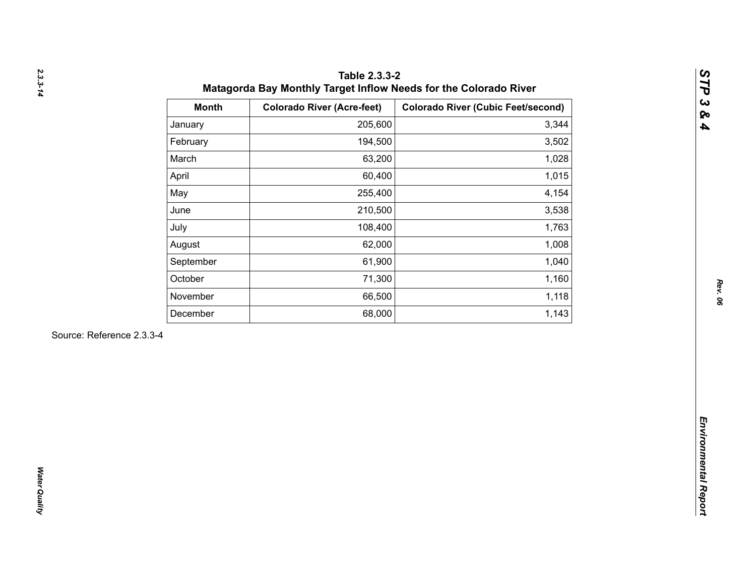| 205,600<br>January<br>194,500<br>February<br>March<br>63,200<br>60,400<br>April<br>May<br>255,400<br>210,500<br>June<br>108,400<br>July<br>62,000<br>August<br>61,900<br>September<br>October<br>71,300<br>66,500<br>November<br>68,000<br>December | 3,344<br>3,502<br>1,028<br>1,015<br>4,154<br>3,538<br>1,763<br>1,008<br>1,040 |
|-----------------------------------------------------------------------------------------------------------------------------------------------------------------------------------------------------------------------------------------------------|-------------------------------------------------------------------------------|
|                                                                                                                                                                                                                                                     |                                                                               |
|                                                                                                                                                                                                                                                     |                                                                               |
|                                                                                                                                                                                                                                                     |                                                                               |
|                                                                                                                                                                                                                                                     |                                                                               |
|                                                                                                                                                                                                                                                     |                                                                               |
|                                                                                                                                                                                                                                                     |                                                                               |
|                                                                                                                                                                                                                                                     |                                                                               |
|                                                                                                                                                                                                                                                     |                                                                               |
|                                                                                                                                                                                                                                                     |                                                                               |
|                                                                                                                                                                                                                                                     | 1,160                                                                         |
|                                                                                                                                                                                                                                                     | 1,118                                                                         |
|                                                                                                                                                                                                                                                     | 1,143                                                                         |
| Source: Reference 2.3.3-4                                                                                                                                                                                                                           |                                                                               |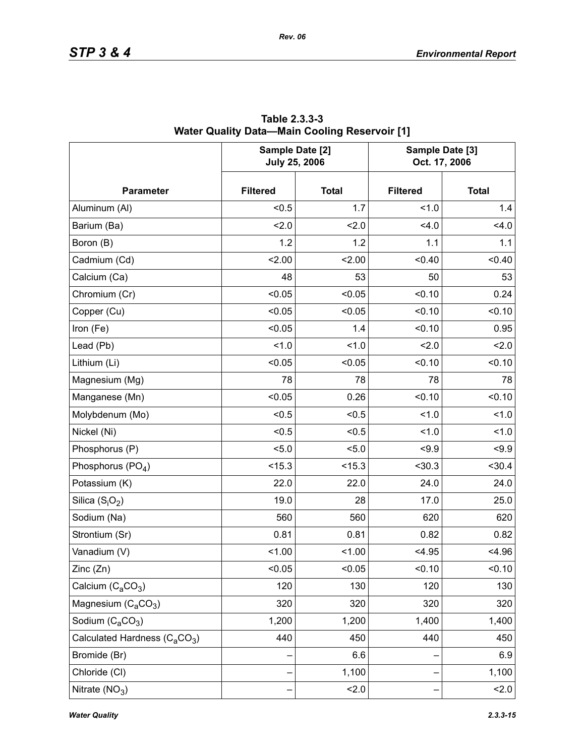|                                                       | Sample Date [2]<br><b>July 25, 2006</b> |              | Sample Date [3]<br>Oct. 17, 2006 |              |  |
|-------------------------------------------------------|-----------------------------------------|--------------|----------------------------------|--------------|--|
| <b>Parameter</b>                                      | <b>Filtered</b>                         | <b>Total</b> | <b>Filtered</b>                  | <b>Total</b> |  |
| Aluminum (Al)                                         | < 0.5                                   | 1.7          | 1.0                              | 1.4          |  |
| Barium (Ba)                                           | 2.0                                     | 2.0          | 4.0                              | 4.0          |  |
| Boron (B)                                             | 1.2                                     | 1.2          | 1.1                              | 1.1          |  |
| Cadmium (Cd)                                          | 2.00                                    | 2.00         | < 0.40                           | < 0.40       |  |
| Calcium (Ca)                                          | 48                                      | 53           | 50                               | 53           |  |
| Chromium (Cr)                                         | < 0.05                                  | < 0.05       | < 0.10                           | 0.24         |  |
| Copper (Cu)                                           | < 0.05                                  | < 0.05       | < 0.10                           | < 0.10       |  |
| Iron (Fe)                                             | < 0.05                                  | 1.4          | < 0.10                           | 0.95         |  |
| Lead (Pb)                                             | 1.0                                     | 1.0          | 2.0                              | 2.0          |  |
| Lithium (Li)                                          | < 0.05                                  | < 0.05       | < 0.10                           | < 0.10       |  |
| Magnesium (Mg)                                        | 78                                      | 78           | 78                               | 78           |  |
| Manganese (Mn)                                        | < 0.05                                  | 0.26         | < 0.10                           | < 0.10       |  |
| Molybdenum (Mo)                                       | < 0.5                                   | < 0.5        | 1.0                              | 1.0          |  |
| Nickel (Ni)                                           | < 0.5                                   | < 0.5        | 1.0                              | 1.0          |  |
| Phosphorus (P)                                        | < 5.0                                   | 5.0          | < 9.9                            | < 9.9        |  |
| Phosphorus (PO <sub>4</sub> )                         | < 15.3                                  | < 15.3       | $30.3$                           | $30.4$       |  |
| Potassium (K)                                         | 22.0                                    | 22.0         | 24.0                             | 24.0         |  |
| Silica $(S_iO_2)$                                     | 19.0                                    | 28           | 17.0                             | 25.0         |  |
| Sodium (Na)                                           | 560                                     | 560          | 620                              | 620          |  |
| Strontium (Sr)                                        | 0.81                                    | 0.81         | 0.82                             | 0.82         |  |
| Vanadium (V)                                          | < 1.00                                  | 1.00         | < 4.95                           | < 4.96       |  |
| Zinc (Zn)                                             | < 0.05                                  | 0.05         | < 0.10                           | 0.10         |  |
| Calcium $(C_aCO_3)$                                   | 120                                     | 130          | 120                              | 130          |  |
| Magnesium $(C_4CO_3)$                                 | 320                                     | 320          | 320                              | 320          |  |
| Sodium $(C_aCO_3)$                                    | 1,200                                   | 1,200        | 1,400                            | 1,400        |  |
| Calculated Hardness (C <sub>a</sub> CO <sub>3</sub> ) | 440                                     | 450          | 440                              | 450          |  |
| Bromide (Br)                                          |                                         | 6.6          |                                  | 6.9          |  |
| Chloride (CI)                                         |                                         | 1,100        |                                  | 1,100        |  |
| Nitrate $(NO3)$                                       |                                         | 2.0          |                                  | 2.0          |  |

**Table 2.3.3-3 Water Quality Data—Main Cooling Reservoir [1]**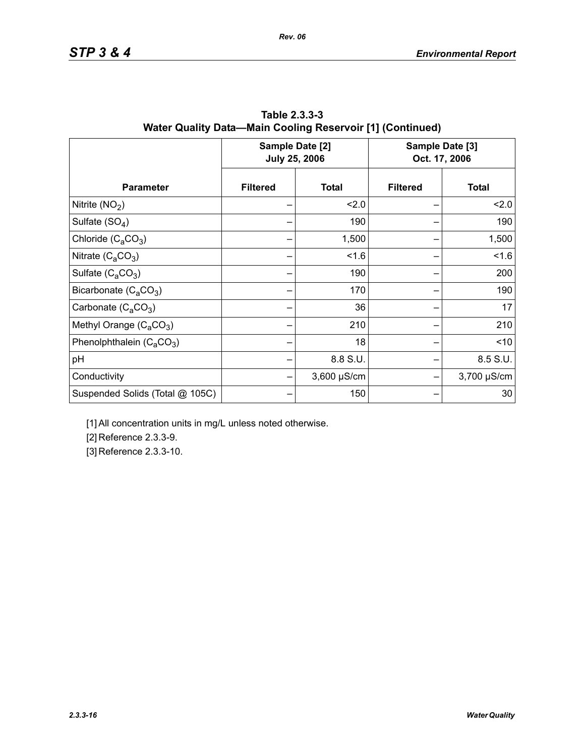|                                 |                 | Sample Date [2]<br><b>July 25, 2006</b> | Sample Date [3]<br>Oct. 17, 2006 |              |  |
|---------------------------------|-----------------|-----------------------------------------|----------------------------------|--------------|--|
| <b>Parameter</b>                | <b>Filtered</b> | <b>Total</b>                            | <b>Filtered</b>                  | <b>Total</b> |  |
| Nitrite $(NO2)$                 |                 | 2.0                                     |                                  | 2.0          |  |
| Sulfate $(SO4)$                 |                 | 190                                     |                                  | 190          |  |
| Chloride $(C_aCO_3)$            |                 | 1,500                                   |                                  | 1,500        |  |
| Nitrate $(C_4CO_3)$             |                 | 1.6                                     |                                  | 1.6          |  |
| Sulfate $(C_4CO_3)$             |                 | 190                                     |                                  | 200          |  |
| Bicarbonate $(C_4CO_3)$         |                 | 170                                     |                                  | 190          |  |
| Carbonate $(C_2CO_3)$           |                 | 36                                      |                                  | 17           |  |
| Methyl Orange $(C_aCO_3)$       |                 | 210                                     |                                  | 210          |  |
| Phenolphthalein $(C_aCO_3)$     |                 | 18                                      |                                  | < 10         |  |
| pH                              |                 | 8.8 S.U.                                |                                  | 8.5 S.U.     |  |
| Conductivity                    |                 | $3,600 \mu S/cm$                        |                                  | 3,700 µS/cm  |  |
| Suspended Solids (Total @ 105C) |                 | 150                                     |                                  | 30           |  |

**Table 2.3.3-3 Water Quality Data—Main Cooling Reservoir [1] (Continued)**

*Rev. 06*

[1] All concentration units in mg/L unless noted otherwise.

[2] Reference 2.3.3-9.

[3] Reference 2.3.3-10.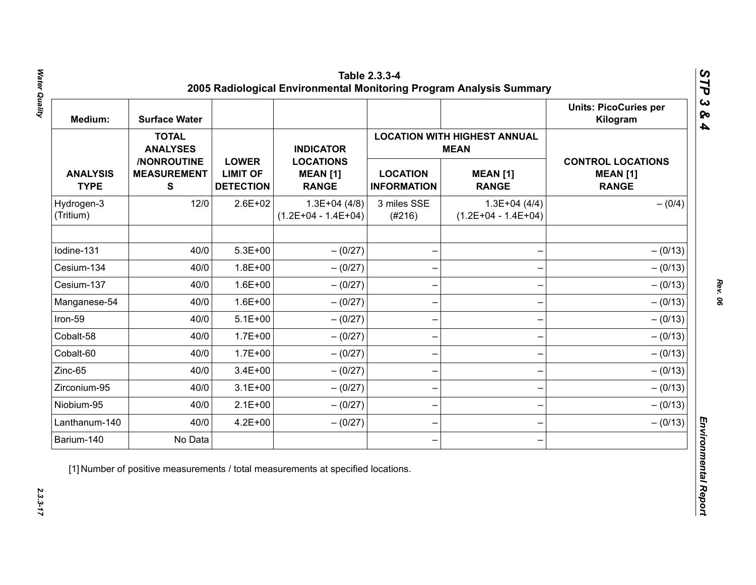| Medium:                        | <b>Surface Water</b>                           |                                                     |                                                     |                                       |                                                    | <b>Units: PicoCuries per</b><br>Kilogram                    |  |  |
|--------------------------------|------------------------------------------------|-----------------------------------------------------|-----------------------------------------------------|---------------------------------------|----------------------------------------------------|-------------------------------------------------------------|--|--|
|                                | <b>TOTAL</b><br><b>ANALYSES</b>                |                                                     | <b>INDICATOR</b>                                    |                                       | <b>LOCATION WITH HIGHEST ANNUAL</b><br><b>MEAN</b> |                                                             |  |  |
| <b>ANALYSIS</b><br><b>TYPE</b> | /NONROUTINE<br><b>MEASUREMENT</b><br>${\bf S}$ | <b>LOWER</b><br><b>LIMIT OF</b><br><b>DETECTION</b> | <b>LOCATIONS</b><br><b>MEAN [1]</b><br><b>RANGE</b> | <b>LOCATION</b><br><b>INFORMATION</b> | <b>MEAN [1]</b><br><b>RANGE</b>                    | <b>CONTROL LOCATIONS</b><br><b>MEAN [1]</b><br><b>RANGE</b> |  |  |
| Hydrogen-3<br>(Tritium)        | 12/0                                           | $2.6E + 02$                                         | $1.3E+04(4/8)$<br>$(1.2E+04 - 1.4E+04)$             | 3 miles SSE<br>(#216)                 | $1.3E+04(4/4)$<br>$(1.2E+04 - 1.4E+04)$            | $- (0/4)$                                                   |  |  |
| Iodine-131                     | 40/0                                           | $5.3E + 00$                                         | $- (0/27)$                                          |                                       |                                                    | $- (0/13)$                                                  |  |  |
| Cesium-134                     | 40/0                                           | $1.8E + 00$                                         | $- (0/27)$                                          |                                       |                                                    | $- (0/13)$                                                  |  |  |
| Cesium-137                     | 40/0                                           | $1.6E + 00$                                         | $-(0/27)$                                           |                                       |                                                    | $- (0/13)$                                                  |  |  |
| Manganese-54                   | 40/0                                           | $1.6E + 00$                                         | $- (0/27)$                                          |                                       |                                                    | $- (0/13)$                                                  |  |  |
| Iron-59                        | 40/0                                           | $5.1E+00$                                           | $- (0/27)$                                          |                                       |                                                    | $- (0/13)$                                                  |  |  |
| Cobalt-58                      | 40/0                                           | $1.7E + 00$                                         | $- (0/27)$                                          |                                       |                                                    | $- (0/13)$                                                  |  |  |
| Cobalt-60                      | 40/0                                           | $1.7E + 00$                                         | $-(0/27)$                                           |                                       |                                                    | $- (0/13)$                                                  |  |  |
| Zinc-65                        | 40/0                                           | $3.4E + 00$                                         | $- (0/27)$                                          |                                       |                                                    | $- (0/13)$                                                  |  |  |
| Zirconium-95                   | 40/0                                           | $3.1E + 00$                                         | $-(0/27)$                                           |                                       |                                                    | $- (0/13)$                                                  |  |  |
| Niobium-95                     | 40/0                                           | $2.1E+00$                                           | $-(0/27)$                                           |                                       |                                                    | $- (0/13)$                                                  |  |  |
| Lanthanum-140                  | 40/0                                           | $4.2E + 00$                                         | $- (0/27)$                                          |                                       |                                                    | $- (0/13)$                                                  |  |  |
| Barium-140                     | No Data                                        |                                                     |                                                     |                                       |                                                    |                                                             |  |  |

*Rev. 06*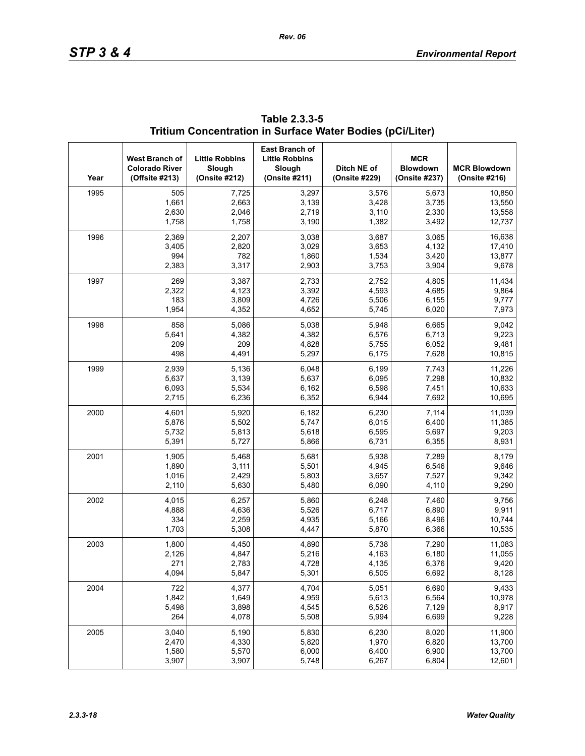| Year | West Branch of<br><b>Colorado River</b><br>(Offsite #213) | <b>Little Robbins</b><br>Slough<br>(Onsite #212) | <b>East Branch of</b><br><b>Little Robbins</b><br>Slough<br>(Onsite #211) | Ditch NE of<br>(Onsite #229) | <b>MCR</b><br><b>Blowdown</b><br>(Onsite #237) | <b>MCR Blowdown</b><br>(Onsite #216) |
|------|-----------------------------------------------------------|--------------------------------------------------|---------------------------------------------------------------------------|------------------------------|------------------------------------------------|--------------------------------------|
| 1995 | 505                                                       | 7,725                                            | 3,297                                                                     | 3,576                        | 5,673                                          | 10,850                               |
|      | 1,661                                                     | 2,663                                            | 3,139                                                                     | 3,428                        | 3,735                                          | 13,550                               |
|      | 2,630                                                     | 2,046                                            | 2,719                                                                     | 3,110                        | 2,330                                          | 13,558                               |
|      | 1,758                                                     | 1,758                                            | 3,190                                                                     | 1,382                        | 3,492                                          | 12,737                               |
| 1996 | 2,369                                                     | 2,207                                            | 3,038                                                                     | 3,687                        | 3,065                                          | 16,638                               |
|      | 3,405                                                     | 2,820                                            | 3,029                                                                     | 3,653                        | 4,132                                          | 17,410                               |
|      | 994                                                       | 782                                              | 1,860                                                                     | 1,534                        | 3,420                                          | 13,877                               |
|      | 2,383                                                     | 3,317                                            | 2,903                                                                     | 3,753                        | 3,904                                          | 9,678                                |
| 1997 | 269                                                       | 3,387                                            | 2,733                                                                     | 2,752                        | 4,805                                          | 11,434                               |
|      | 2,322                                                     | 4,123                                            | 3,392                                                                     | 4,593                        | 4,685                                          | 9,864                                |
|      | 183                                                       | 3,809                                            | 4,726                                                                     | 5,506                        | 6,155                                          | 9,777                                |
|      | 1,954                                                     | 4,352                                            | 4,652                                                                     | 5,745                        | 6,020                                          | 7,973                                |
| 1998 | 858                                                       | 5,086                                            | 5,038                                                                     | 5,948                        | 6,665                                          | 9,042                                |
|      | 5,641                                                     | 4,382                                            | 4,382                                                                     | 6,576                        | 6,713                                          | 9,223                                |
|      | 209                                                       | 209                                              | 4,828                                                                     | 5,755                        | 6,052                                          | 9,481                                |
|      | 498                                                       | 4,491                                            | 5,297                                                                     | 6,175                        | 7,628                                          | 10,815                               |
| 1999 | 2,939                                                     | 5,136                                            | 6,048                                                                     | 6,199                        | 7,743                                          | 11,226                               |
|      | 5,637                                                     | 3,139                                            | 5,637                                                                     | 6,095                        | 7,298                                          | 10,832                               |
|      | 6,093                                                     | 5,534                                            | 6,162                                                                     | 6,598                        | 7,451                                          | 10,633                               |
|      | 2,715                                                     | 6,236                                            | 6,352                                                                     | 6,944                        | 7,692                                          | 10,695                               |
| 2000 | 4,601                                                     | 5,920                                            | 6,182                                                                     | 6,230                        | 7,114                                          | 11,039                               |
|      | 5,876                                                     | 5,502                                            | 5,747                                                                     | 6,015                        | 6,400                                          | 11,385                               |
|      | 5,732                                                     | 5,813                                            | 5,618                                                                     | 6,595                        | 5,697                                          | 9,203                                |
|      | 5,391                                                     | 5,727                                            | 5,866                                                                     | 6,731                        | 6,355                                          | 8,931                                |
| 2001 | 1,905                                                     | 5,468                                            | 5,681                                                                     | 5,938                        | 7,289                                          | 8,179                                |
|      | 1,890                                                     | 3,111                                            | 5,501                                                                     | 4,945                        | 6,546                                          | 9,646                                |
|      | 1,016                                                     | 2,429                                            | 5,803                                                                     | 3,657                        | 7,527                                          | 9,342                                |
|      | 2,110                                                     | 5,630                                            | 5,480                                                                     | 6,090                        | 4,110                                          | 9,290                                |
| 2002 | 4,015                                                     | 6,257                                            | 5,860                                                                     | 6,248                        | 7,460                                          | 9,756                                |
|      | 4,888                                                     | 4,636                                            | 5,526                                                                     | 6,717                        | 6,890                                          | 9,911                                |
|      | 334                                                       | 2,259                                            | 4,935                                                                     | 5,166                        | 8,496                                          | 10,744                               |
|      | 1,703                                                     | 5,308                                            | 4,447                                                                     | 5,870                        | 6,366                                          | 10,535                               |
| 2003 | 1,800                                                     | 4,450                                            | 4,890                                                                     | 5,738                        | 7,290                                          | 11,083                               |
|      | 2,126                                                     | 4,847                                            | 5,216                                                                     | 4,163                        | 6,180                                          | 11,055                               |
|      | 271                                                       | 2,783                                            | 4,728                                                                     | 4,135                        | 6,376                                          | 9,420                                |
|      | 4,094                                                     | 5,847                                            | 5,301                                                                     | 6,505                        | 6,692                                          | 8,128                                |
| 2004 | 722                                                       | 4,377                                            | 4,704                                                                     | 5,051                        | 6,690                                          | 9,433                                |
|      | 1,842                                                     | 1,649                                            | 4,959                                                                     | 5,613                        | 6,564                                          | 10,978                               |
|      | 5,498                                                     | 3,898                                            | 4,545                                                                     | 6,526                        | 7,129                                          | 8,917                                |
|      | 264                                                       | 4,078                                            | 5,508                                                                     | 5,994                        | 6,699                                          | 9,228                                |
| 2005 | 3,040                                                     | 5,190                                            | 5,830                                                                     | 6,230                        | 8,020                                          | 11,900                               |
|      | 2,470                                                     | 4,330                                            | 5,820                                                                     | 1,970                        | 6,820                                          | 13,700                               |
|      | 1,580                                                     | 5,570                                            | 6,000                                                                     | 6,400                        | 6,900                                          | 13,700                               |
|      | 3,907                                                     | 3,907                                            | 5,748                                                                     | 6,267                        | 6,804                                          | 12,601                               |

## **Table 2.3.3-5 Tritium Concentration in Surface Water Bodies (pCi/Liter)**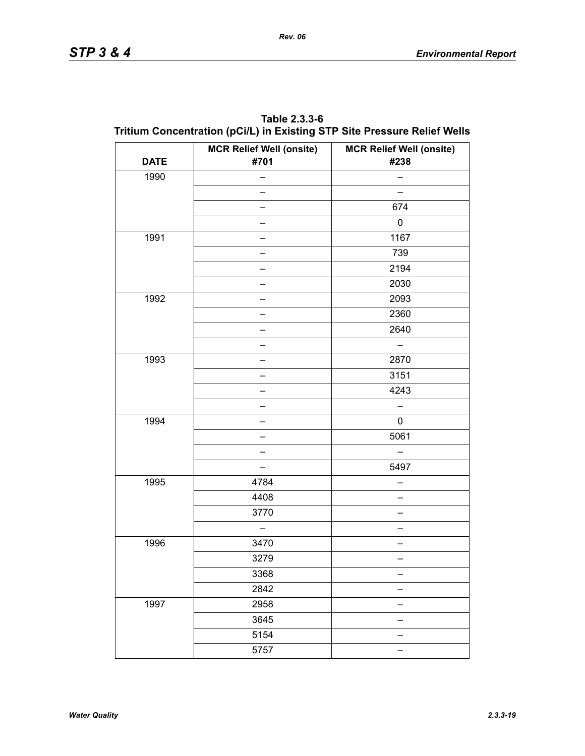| Table 2.3.3-6                                                            |
|--------------------------------------------------------------------------|
| Tritium Concentration (pCi/L) in Existing STP Site Pressure Relief Wells |

|             | <b>MCR Relief Well (onsite)</b> | <b>MCR Relief Well (onsite)</b> |
|-------------|---------------------------------|---------------------------------|
| <b>DATE</b> | #701                            | #238                            |
| 1990        |                                 |                                 |
|             |                                 |                                 |
|             |                                 | 674                             |
|             |                                 | 0                               |
| 1991        |                                 | 1167                            |
|             |                                 | 739                             |
|             |                                 | 2194                            |
|             |                                 | 2030                            |
| 1992        |                                 | 2093                            |
|             |                                 | 2360                            |
|             |                                 | 2640                            |
|             |                                 |                                 |
| 1993        |                                 | 2870                            |
|             |                                 | 3151                            |
|             |                                 | 4243                            |
|             |                                 |                                 |
| 1994        |                                 | $\pmb{0}$                       |
|             |                                 | 5061                            |
|             |                                 |                                 |
|             | ▃                               | 5497                            |
| 1995        | 4784                            |                                 |
|             | 4408                            |                                 |
|             | 3770                            |                                 |
|             |                                 |                                 |
| 1996        | 3470                            |                                 |
|             | 3279                            |                                 |
|             | 3368                            |                                 |
|             | 2842                            |                                 |
| 1997        | 2958                            |                                 |
|             | 3645                            |                                 |
|             | 5154                            |                                 |
|             | 5757                            | $\equiv$                        |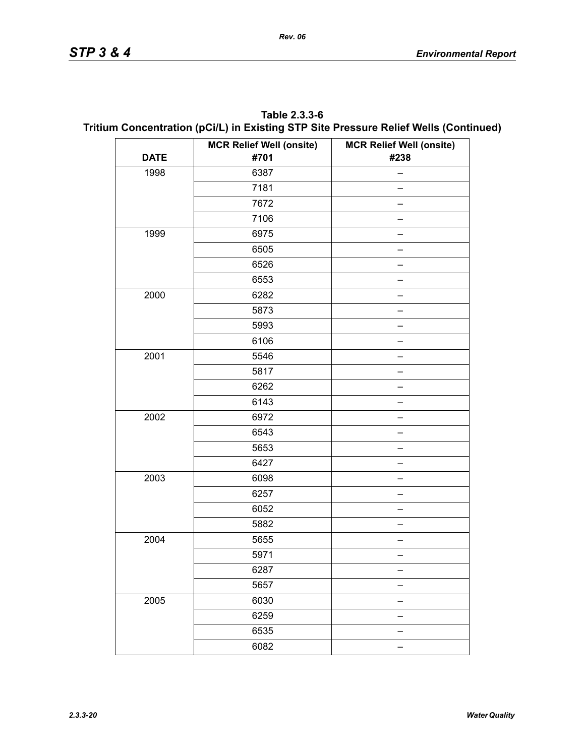| Table 2.3.3-6                                                                        |
|--------------------------------------------------------------------------------------|
| Tritium Concentration (pCi/L) in Existing STP Site Pressure Relief Wells (Continued) |

|             | <b>MCR Relief Well (onsite)</b> | <b>MCR Relief Well (onsite)</b> |
|-------------|---------------------------------|---------------------------------|
| <b>DATE</b> | #701                            | #238                            |
| 1998        | 6387                            |                                 |
|             | 7181                            |                                 |
|             | 7672                            |                                 |
|             | 7106                            |                                 |
| 1999        | 6975                            |                                 |
|             | 6505                            |                                 |
|             | 6526                            |                                 |
|             | 6553                            |                                 |
| 2000        | 6282                            |                                 |
|             | 5873                            |                                 |
|             | 5993                            |                                 |
|             | 6106                            |                                 |
| 2001        | 5546                            |                                 |
|             | 5817                            |                                 |
|             | 6262                            |                                 |
|             | 6143                            |                                 |
| 2002        | 6972                            |                                 |
|             | 6543                            |                                 |
|             | 5653                            |                                 |
|             | 6427                            |                                 |
| 2003        | 6098                            |                                 |
|             | 6257                            |                                 |
|             | 6052                            |                                 |
|             | 5882                            |                                 |
| 2004        | 5655                            |                                 |
|             | 5971                            |                                 |
|             | 6287                            |                                 |
|             | 5657                            |                                 |
| 2005        | 6030                            |                                 |
|             | 6259                            |                                 |
|             | 6535                            |                                 |
|             | 6082                            |                                 |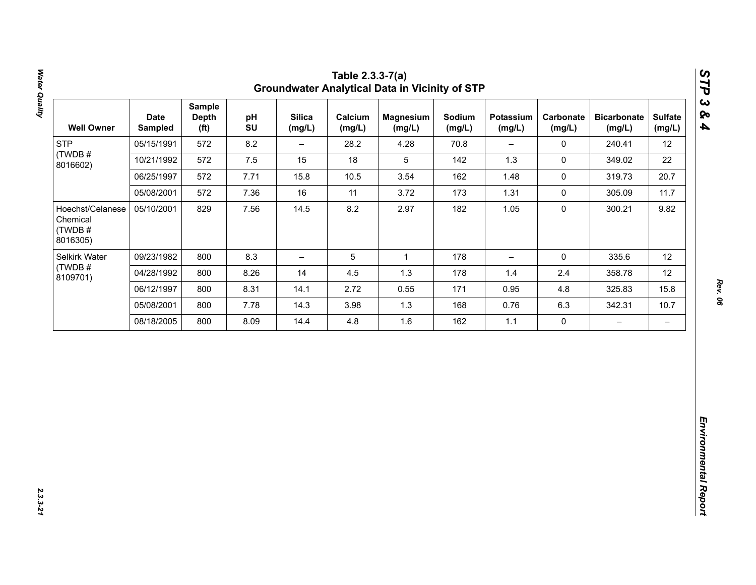| 12<br>22<br>20.7<br>11.7<br>9.82 |
|----------------------------------|
|                                  |
|                                  |
|                                  |
|                                  |
|                                  |
| 12                               |
| 12                               |
| 15.8                             |
| 10.7                             |
| $\qquad \qquad -$                |
|                                  |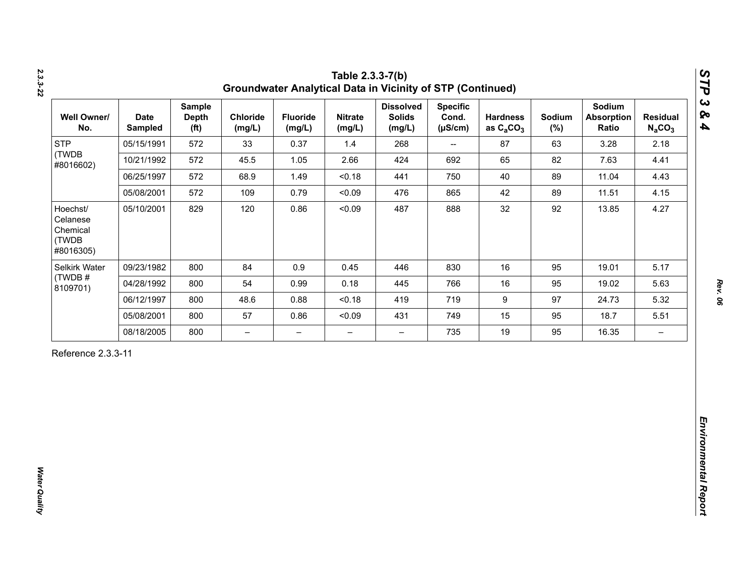| <b>STP</b><br>(TWDB                                    |            | <b>Depth</b><br>(f <sup>t</sup> ) | Chloride<br>(mg/L)       | <b>Fluoride</b><br>(mg/L) | <b>Nitrate</b><br>(mg/L) | <b>Dissolved</b><br><b>Solids</b><br>(mg/L) | <b>Specific</b><br>Cond.<br>$(\mu S/cm)$ | <b>Hardness</b><br>as $C_2CO_3$ | Sodium<br>$(\%)$ | Sodium<br><b>Absorption</b><br>Ratio | <b>Residual</b><br>$N_aCO_3$ |
|--------------------------------------------------------|------------|-----------------------------------|--------------------------|---------------------------|--------------------------|---------------------------------------------|------------------------------------------|---------------------------------|------------------|--------------------------------------|------------------------------|
| #8016602)                                              | 05/15/1991 | 572                               | 33                       | 0.37                      | 1.4                      | 268                                         | $\overline{\phantom{a}}$                 | 87                              | 63               | 3.28                                 | 2.18                         |
|                                                        | 10/21/1992 | 572                               | 45.5                     | 1.05                      | 2.66                     | 424                                         | 692                                      | 65                              | 82               | 7.63                                 | 4.41                         |
|                                                        | 06/25/1997 | 572                               | 68.9                     | 1.49                      | < 0.18                   | 441                                         | 750                                      | 40                              | 89               | 11.04                                | 4.43                         |
|                                                        | 05/08/2001 | 572                               | 109                      | 0.79                      | < 0.09                   | 476                                         | 865                                      | 42                              | 89               | 11.51                                | 4.15                         |
| Hoechst/<br>Celanese<br>Chemical<br>(TWDB<br>#8016305) | 05/10/2001 | 829                               | 120                      | 0.86                      | < 0.09                   | 487                                         | 888                                      | 32                              | 92               | 13.85                                | 4.27                         |
| Selkirk Water                                          | 09/23/1982 | 800                               | 84                       | 0.9                       | 0.45                     | 446                                         | 830                                      | 16                              | 95               | 19.01                                | 5.17                         |
| (TWDB#<br>8109701)                                     | 04/28/1992 | 800                               | 54                       | 0.99                      | 0.18                     | 445                                         | 766                                      | 16                              | 95               | 19.02                                | 5.63                         |
|                                                        | 06/12/1997 | 800                               | 48.6                     | 0.88                      | < 0.18                   | 419                                         | 719                                      | $\boldsymbol{9}$                | 97               | 24.73                                | 5.32                         |
|                                                        | 05/08/2001 | 800                               | 57                       | 0.86                      | < 0.09                   | 431                                         | 749                                      | 15                              | 95               | 18.7                                 | 5.51                         |
|                                                        | 08/18/2005 | 800                               | $\overline{\phantom{0}}$ | $\overline{\phantom{m}}$  | $\overline{\phantom{0}}$ | $\overline{\phantom{0}}$                    | 735                                      | 19                              | 95               | 16.35                                | $\overline{\phantom{m}}$     |

*2.3.3-22*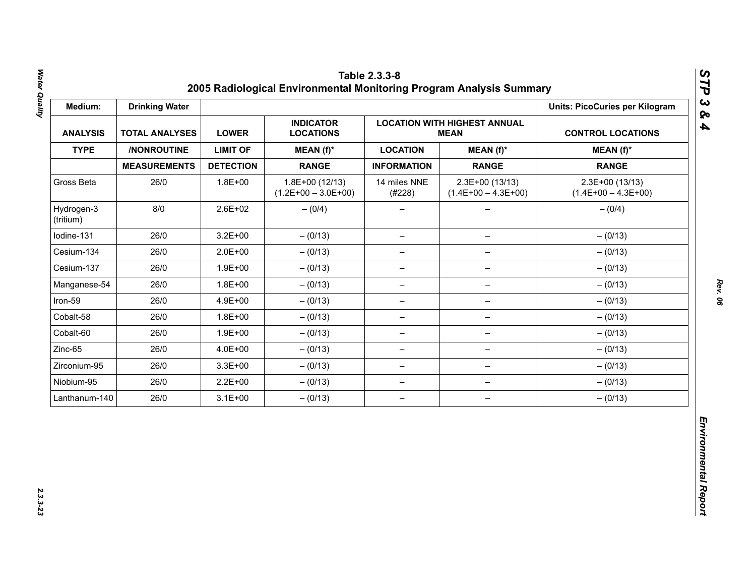| Medium:                 | <b>Drinking Water</b> |                  |                                           |                          |                                          | <b>Units: PicoCuries per Kilogram</b>     |  |  |
|-------------------------|-----------------------|------------------|-------------------------------------------|--------------------------|------------------------------------------|-------------------------------------------|--|--|
| <b>ANALYSIS</b>         | <b>TOTAL ANALYSES</b> | <b>LOWER</b>     | <b>INDICATOR</b><br><b>LOCATIONS</b>      | <b>CONTROL LOCATIONS</b> |                                          |                                           |  |  |
| <b>TYPE</b>             | /NONROUTINE           | <b>LIMIT OF</b>  | MEAN (f)*                                 | <b>LOCATION</b>          | $MEAN(f)^*$                              | $MEAN(f)^*$                               |  |  |
|                         | <b>MEASUREMENTS</b>   | <b>DETECTION</b> | <b>RANGE</b>                              | <b>INFORMATION</b>       | <b>RANGE</b>                             | <b>RANGE</b>                              |  |  |
| Gross Beta              | 26/0                  | $1.8E + 00$      | $1.8E+00(12/13)$<br>$(1.2E+00 - 3.0E+00)$ | 14 miles NNE<br>(#228)   | 2.3E+00 (13/13)<br>$(1.4E+00 - 4.3E+00)$ | $2.3E+00(13/13)$<br>$(1.4E+00 - 4.3E+00)$ |  |  |
| Hydrogen-3<br>(tritium) | 8/0                   | $2.6E + 02$      | $- (0/4)$                                 |                          |                                          | $- (0/4)$                                 |  |  |
| Iodine-131              | 26/0                  | $3.2E + 00$      | $- (0/13)$                                | $\overline{\phantom{m}}$ | $\qquad \qquad -$                        | $- (0/13)$                                |  |  |
| Cesium-134              | 26/0                  | $2.0E + 00$      | $- (0/13)$                                | $\overline{\phantom{m}}$ | $\overline{\phantom{m}}$                 | $- (0/13)$                                |  |  |
| Cesium-137              | 26/0                  | $1.9E + 00$      | $- (0/13)$                                | -                        |                                          | $- (0/13)$                                |  |  |
| Manganese-54            | 26/0                  | $1.8E + 00$      | $- (0/13)$                                | $\qquad \qquad -$        | $\qquad \qquad -$                        | $- (0/13)$                                |  |  |
| Iron-59                 | 26/0                  | 4.9E+00          | $- (0/13)$                                | $\overline{\phantom{0}}$ | $\qquad \qquad -$                        | $- (0/13)$                                |  |  |
| Cobalt-58               | 26/0                  | $1.8E + 00$      | $- (0/13)$                                | $\overline{\phantom{m}}$ | $\overline{\phantom{0}}$                 | $- (0/13)$                                |  |  |
| Cobalt-60               | 26/0                  | $1.9E + 00$      | $- (0/13)$                                | $\overline{\phantom{m}}$ | $\qquad \qquad -$                        | $- (0/13)$                                |  |  |
| Zinc-65                 | 26/0                  | 4.0E+00          | $- (0/13)$                                | $\overline{\phantom{0}}$ | $\qquad \qquad -$                        | $- (0/13)$                                |  |  |
| Zirconium-95            | 26/0                  | $3.3E + 00$      | $- (0/13)$                                | $\overline{\phantom{m}}$ | $\qquad \qquad -$                        | $- (0/13)$                                |  |  |
| Niobium-95              | 26/0                  | $2.2E + 00$      | $- (0/13)$                                | $\overline{\phantom{m}}$ | $\qquad \qquad -$                        | $- (0/13)$                                |  |  |
| Lanthanum-140           | 26/0                  | $3.1E + 00$      | $- (0/13)$                                | $\overline{\phantom{m}}$ | $\overline{\phantom{m}}$                 | $- (0/13)$                                |  |  |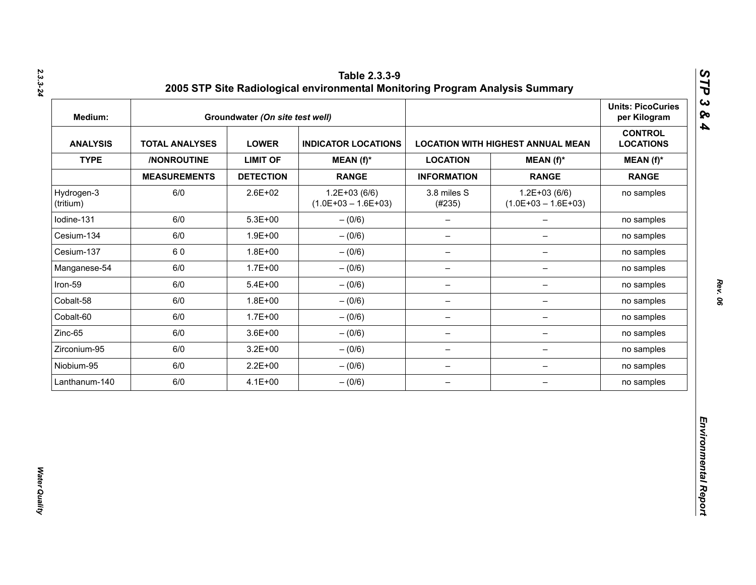| Medium:                 |                       | Groundwater (On site test well) |                                           |                          |                                          | <b>Units: PicoCuries</b><br>per Kilogram |
|-------------------------|-----------------------|---------------------------------|-------------------------------------------|--------------------------|------------------------------------------|------------------------------------------|
| <b>ANALYSIS</b>         | <b>TOTAL ANALYSES</b> | <b>LOWER</b>                    | <b>INDICATOR LOCATIONS</b>                |                          | <b>LOCATION WITH HIGHEST ANNUAL MEAN</b> | <b>CONTROL</b><br><b>LOCATIONS</b>       |
| <b>TYPE</b>             | /NONROUTINE           | <b>LIMIT OF</b>                 | $MEAN(f)^*$                               | <b>LOCATION</b>          | $MEAN(f)^*$                              | $MEAN(f)^*$                              |
|                         | <b>MEASUREMENTS</b>   | <b>DETECTION</b>                | <b>RANGE</b>                              | <b>INFORMATION</b>       | <b>RANGE</b>                             | <b>RANGE</b>                             |
| Hydrogen-3<br>(tritium) | 6/0                   | 2.6E+02                         | $1.2E + 03(6/6)$<br>$(1.0E+03 - 1.6E+03)$ | 3.8 miles S<br>(#235)    | $1.2E+03(6/6)$<br>$(1.0E+03 - 1.6E+03)$  | no samples                               |
| lodine-131              | 6/0                   | $5.3E + 00$                     | $- (0/6)$                                 | $\qquad \qquad -$        | $\overline{\phantom{0}}$                 | no samples                               |
| Cesium-134              | 6/0                   | $1.9E + 00$                     | $- (0/6)$                                 | $\qquad \qquad -$        | $\overline{\phantom{0}}$                 | no samples                               |
| Cesium-137              | 60                    | $1.8E + 00$                     | $-(0/6)$                                  | $\overline{\phantom{a}}$ | $\qquad \qquad -$                        | no samples                               |
| Manganese-54            | 6/0                   | $1.7E + 00$                     | $- (0/6)$                                 | $\overline{\phantom{m}}$ | -                                        | no samples                               |
| Iron-59                 | 6/0                   | $5.4E + 00$                     | $- (0/6)$                                 | $\qquad \qquad -$        | -                                        | no samples                               |
| Cobalt-58               | 6/0                   | $1.8E + 00$                     | $- (0/6)$                                 | $\overline{\phantom{m}}$ | $\qquad \qquad -$                        | no samples                               |
| Cobalt-60               | 6/0                   | $1.7E + 00$                     | $- (0/6)$                                 | $\overline{\phantom{m}}$ | $\qquad \qquad -$                        | no samples                               |
| Zinc-65                 | 6/0                   | $3.6E + 00$                     | $-(0/6)$                                  | $\overline{\phantom{m}}$ | $\qquad \qquad -$                        | no samples                               |
| Zirconium-95            | 6/0                   | $3.2E + 00$                     | $-(0/6)$                                  | $\qquad \qquad -$        | -                                        | no samples                               |
| Niobium-95              | 6/0                   | $2.2E + 00$                     | $-(0/6)$                                  | $\qquad \qquad -$        | $\overline{\phantom{a}}$                 | no samples                               |
| Lanthanum-140           | 6/0                   | $4.1E + 00$                     | $-(0/6)$                                  | $\qquad \qquad -$        | $\qquad \qquad -$                        | no samples                               |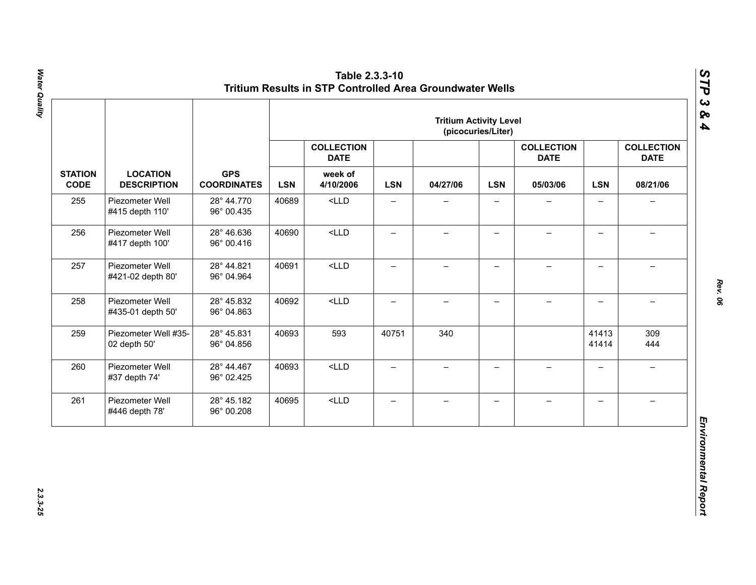|                               |                                       |                          |                                  |                                  |                          | <b>Tritium Activity Level</b> | (picocuries/Liter)       |                                  |                          |                                  |          |
|-------------------------------|---------------------------------------|--------------------------|----------------------------------|----------------------------------|--------------------------|-------------------------------|--------------------------|----------------------------------|--------------------------|----------------------------------|----------|
|                               |                                       |                          |                                  | <b>COLLECTION</b><br><b>DATE</b> |                          |                               |                          | <b>COLLECTION</b><br><b>DATE</b> |                          | <b>COLLECTION</b><br><b>DATE</b> |          |
| <b>STATION</b><br><b>CODE</b> | <b>LOCATION</b><br><b>DESCRIPTION</b> |                          | <b>GPS</b><br><b>COORDINATES</b> | <b>LSN</b>                       | week of<br>4/10/2006     | <b>LSN</b>                    | 04/27/06                 | <b>LSN</b>                       | 05/03/06                 | <b>LSN</b>                       | 08/21/06 |
| 255                           | Piezometer Well<br>#415 depth 110'    | 28° 44.770<br>96° 00.435 | 40689                            | $<$ LLD                          | $\overline{\phantom{0}}$ |                               |                          |                                  | $\overline{\phantom{0}}$ |                                  |          |
| 256                           | Piezometer Well<br>#417 depth 100'    | 28° 46.636<br>96° 00.416 | 40690                            | $<$ LLD                          | $\qquad \qquad -$        | $\overline{\phantom{0}}$      | $\qquad \qquad -$        |                                  | $\overline{\phantom{0}}$ |                                  |          |
| 257                           | Piezometer Well<br>#421-02 depth 80'  | 28° 44.821<br>96° 04.964 | 40691                            | $<$ LLD                          | $\overline{\phantom{0}}$ | $\qquad \qquad -$             | $\overline{\phantom{0}}$ | $\overline{\phantom{0}}$         | $\overline{\phantom{0}}$ | $\equiv$                         |          |
| 258                           | Piezometer Well<br>#435-01 depth 50'  | 28° 45.832<br>96° 04.863 | 40692                            | $<$ LLD                          | $\overline{\phantom{0}}$ | $\overline{\phantom{0}}$      | $\overline{\phantom{0}}$ | $\!-$                            | $\overline{\phantom{0}}$ | $\overline{\phantom{m}}$         |          |
| 259                           | Piezometer Well #35-<br>02 depth 50'  | 28° 45.831<br>96° 04.856 | 40693                            | 593                              | 40751                    | 340                           |                          |                                  | 41413<br>41414           | 309<br>444                       |          |
| 260                           | Piezometer Well<br>#37 depth 74'      | 28° 44.467<br>96° 02.425 | 40693                            | $<$ LLD                          | $\overline{\phantom{0}}$ | $\qquad \qquad -$             | $\overline{\phantom{0}}$ | $\equiv$                         | $\overline{\phantom{0}}$ | $\rightarrow$                    |          |
| 261                           | Piezometer Well<br>#446 depth 78'     | 28° 45.182<br>96° 00.208 | 40695                            | $<$ LLD                          | $\qquad \qquad -$        | $\qquad \qquad -$             | $\overline{\phantom{m}}$ | $\qquad \qquad -$                | $\overline{\phantom{0}}$ | $\overline{\phantom{0}}$         |          |

*Rev. 06*

*STP 3 & 4*

2.3.3-25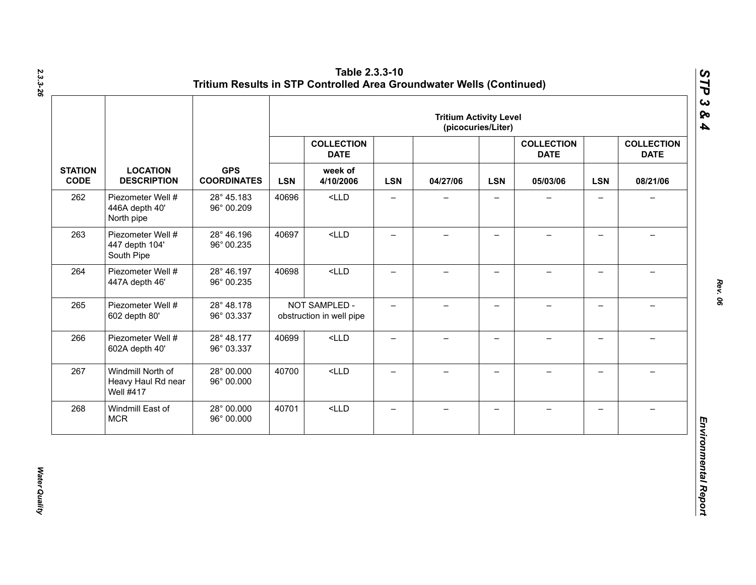|                               |                                                             |                                                     | <b>Tritium Activity Level</b><br>(picocuries/Liter) |                                           |                                  |                          |                          |          |                                  |                          |                                  |
|-------------------------------|-------------------------------------------------------------|-----------------------------------------------------|-----------------------------------------------------|-------------------------------------------|----------------------------------|--------------------------|--------------------------|----------|----------------------------------|--------------------------|----------------------------------|
|                               |                                                             | <b>GPS</b><br><b>LOCATION</b><br><b>COORDINATES</b> |                                                     |                                           | <b>COLLECTION</b><br><b>DATE</b> |                          |                          |          | <b>COLLECTION</b><br><b>DATE</b> |                          | <b>COLLECTION</b><br><b>DATE</b> |
| <b>STATION</b><br><b>CODE</b> | <b>DESCRIPTION</b>                                          |                                                     | <b>LSN</b>                                          | week of<br>4/10/2006                      | <b>LSN</b>                       | 04/27/06                 | <b>LSN</b>               | 05/03/06 | <b>LSN</b>                       | 08/21/06                 |                                  |
| 262                           | Piezometer Well #<br>446A depth 40'<br>North pipe           | 28° 45.183<br>96° 00.209                            | 40696                                               | $<$ LLD                                   | $\qquad \qquad -$                | —                        | $\overline{\phantom{0}}$ |          | $\qquad \qquad -$                | $\overline{\phantom{0}}$ |                                  |
| 263                           | Piezometer Well #<br>447 depth 104'<br>South Pipe           | 28° 46.196<br>96° 00.235                            | 40697                                               | $<$ LLD                                   | $\overline{\phantom{0}}$         | $\overline{\phantom{0}}$ | $\overline{\phantom{0}}$ |          | $\qquad \qquad -$                |                          |                                  |
| 264                           | Piezometer Well #<br>447A depth 46'                         | 28° 46.197<br>96° 00.235                            | 40698                                               | $<$ LLD                                   | $\overline{\phantom{0}}$         | $\overline{\phantom{0}}$ | $\overline{\phantom{0}}$ |          | $\overline{\phantom{0}}$         |                          |                                  |
| 265                           | Piezometer Well #<br>602 depth 80'                          | 28° 48.178<br>96° 03.337                            |                                                     | NOT SAMPLED -<br>obstruction in well pipe | $-$                              | $-$                      | $\overline{\phantom{0}}$ |          | $\overline{\phantom{0}}$         |                          |                                  |
| 266                           | Piezometer Well #<br>602A depth 40'                         | 28° 48.177<br>96° 03.337                            | 40699                                               | $<$ LLD                                   | $\qquad \qquad -$                | $\overline{\phantom{0}}$ | $\qquad \qquad -$        |          | $\overline{\phantom{0}}$         |                          |                                  |
| 267                           | Windmill North of<br>Heavy Haul Rd near<br><b>Well #417</b> | 28° 00.000<br>96° 00.000                            | 40700                                               | $<$ LLD                                   | $\equiv$                         | $-$                      | $-$                      | $\!-$    | $\overline{\phantom{0}}$         | $\overline{\phantom{0}}$ |                                  |
| 268                           | Windmill East of<br><b>MCR</b>                              | 28° 00.000<br>96° 00.000                            | 40701                                               | $<$ LLD                                   | $\qquad \qquad -$                | $\overline{\phantom{0}}$ | —                        |          | $\qquad \qquad -$                |                          |                                  |

**Water Quality** *Water Quality*